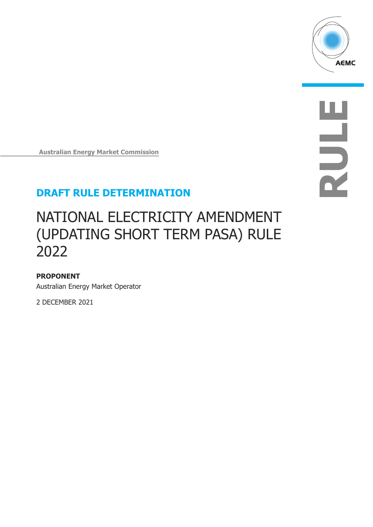

**Australian Energy Market Commission** 

# **DRAFT RULE DETERMINATION**

# NATIONAL ELECTRICITY AMENDMENT (UPDATING SHORT TERM PASA) RULE 2022

### **PROPONENT**

Australian Energy Market Operator

2 DECEMBER 2021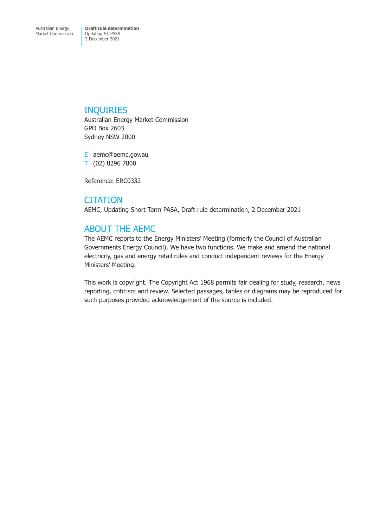## INQUIRIES

Australian Energy Market Commission GPO Box 2603 Sydney NSW 2000

E aemc@aemc.gov.au T (02) 8296 7800

Reference: ERC0332

## **CITATION**

AEMC, Updating Short Term PASA, Draft rule determination, 2 December 2021

## ABOUT THE AEMC

The AEMC reports to the Energy Ministers' Meeting (formerly the Council of Australian Governments Energy Council). We have two functions. We make and amend the national electricity, gas and energy retail rules and conduct independent reviews for the Energy Ministers' Meeting.

This work is copyright. The Copyright Act 1968 permits fair dealing for study, research, news reporting, criticism and review. Selected passages, tables or diagrams may be reproduced for such purposes provided acknowledgement of the source is included.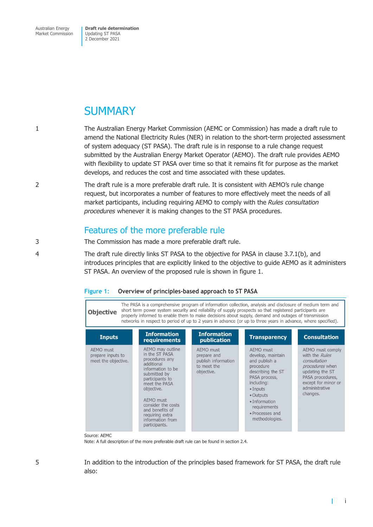Australian Energy Market Commission **Draft rule determination**  Updating ST PASA 2 December 2021

# **SUMMARY**

- 1 The Australian Energy Market Commission (AEMC or Commission) has made a draft rule to amend the National Electricity Rules (NER) in relation to the short-term projected assessment of system adequacy (ST PASA). The draft rule is in response to a rule change request submitted by the Australian Energy Market Operator (AEMO). The draft rule provides AEMO with flexibility to update ST PASA over time so that it remains fit for purpose as the market develops, and reduces the cost and time associated with these updates.
- 2 The draft rule is a more preferable draft rule. It is consistent with AEMO's rule change request, but incorporates a number of features to more effectively meet the needs of all market participants, including requiring AEMO to comply with the *Rules consultation procedures* whenever it is making changes to the ST PASA procedures.

## Features of the more preferable rule

- 3 The Commission has made a more preferable draft rule.
- 4 The draft rule directly links ST PASA to the objective for PASA in clause 3.7.1(b), and introduces principles that are explicitly linked to the objective to guide AEMO as it administers ST PASA. An overview of the proposed rule is shown in figure 1.

|                                                                                                                                                                                                                                                                                                                                                                                                                                                                   |                                                                                                                                                                                                                                                                         |                                                                              |                                                                                                                                                                                                                                | i igure 1.     Overview or principles-based approach to 31 FA3A                                                                                                          |  |  |  |  |  |
|-------------------------------------------------------------------------------------------------------------------------------------------------------------------------------------------------------------------------------------------------------------------------------------------------------------------------------------------------------------------------------------------------------------------------------------------------------------------|-------------------------------------------------------------------------------------------------------------------------------------------------------------------------------------------------------------------------------------------------------------------------|------------------------------------------------------------------------------|--------------------------------------------------------------------------------------------------------------------------------------------------------------------------------------------------------------------------------|--------------------------------------------------------------------------------------------------------------------------------------------------------------------------|--|--|--|--|--|
| The PASA is a comprehensive program of information collection, analysis and disclosure of medium term and<br>short term power system security and reliability of supply prospects so that registered participants are<br><b>Objective</b><br>properly informed to enable them to make decisions about supply, demand and outages of transmission<br>networks in respect to period of up to 2 years in advance (or up to three years in advance, where specified). |                                                                                                                                                                                                                                                                         |                                                                              |                                                                                                                                                                                                                                |                                                                                                                                                                          |  |  |  |  |  |
| <b>Inputs</b>                                                                                                                                                                                                                                                                                                                                                                                                                                                     | <b>Information</b><br><b>requirements</b>                                                                                                                                                                                                                               | <b>Information</b><br>publication                                            | <b>Transparency</b>                                                                                                                                                                                                            | <b>Consultation</b>                                                                                                                                                      |  |  |  |  |  |
| AEMO must<br>prepare inputs to<br>meet the objective.                                                                                                                                                                                                                                                                                                                                                                                                             | AEMO may outline<br>in the ST PASA<br>procedures any<br>additional<br>information to be<br>submitted by<br>participants to<br>meet the PASA<br>objective.<br>AEMO must<br>consider the costs<br>and benefits of<br>requiring extra<br>information from<br>participants. | AEMO must<br>prepare and<br>publish information<br>to meet the<br>objective. | <b>AEMO</b> must<br>develop, maintain<br>and publish a<br>procedure<br>describing the ST<br>PASA process,<br>including:<br>$\bullet$ Inputs<br>• Outputs<br>· Information<br>requirements<br>· Processes and<br>methodologies. | AEMO must comply<br>with the <i>Rules</i><br>consultation<br>procedures when<br>updating the ST<br>PASA procedures,<br>except for minor or<br>administrative<br>changes. |  |  |  |  |  |

### **Figure 1: Overview of principles-based approach to ST PASA**

Source: AEMC

Note: A full description of the more preferable draft rule can be found in section 2.4.

5 In addition to the introduction of the principles based framework for ST PASA, the draft rule also: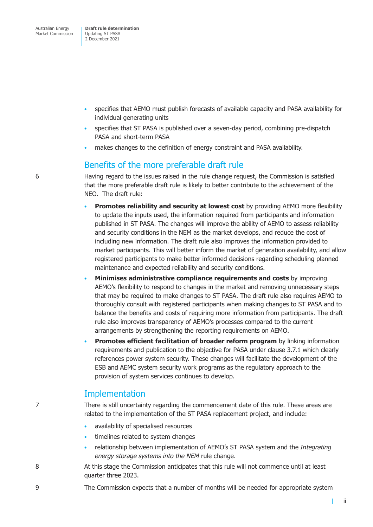- specifies that AEMO must publish forecasts of available capacity and PASA availability for individual generating units
- specifies that ST PASA is published over a seven-day period, combining pre-dispatch PASA and short-term PASA
- makes changes to the definition of energy constraint and PASA availability.

### Benefits of the more preferable draft rule

6 Having regard to the issues raised in the rule change request, the Commission is satisfied that the more preferable draft rule is likely to better contribute to the achievement of the NEO. The draft rule:

- **Promotes reliability and security at lowest cost** by providing AEMO more flexibility to update the inputs used, the information required from participants and information published in ST PASA. The changes will improve the ability of AEMO to assess reliability and security conditions in the NEM as the market develops, and reduce the cost of including new information. The draft rule also improves the information provided to market participants. This will better inform the market of generation availability, and allow registered participants to make better informed decisions regarding scheduling planned maintenance and expected reliability and security conditions.
- **Minimises administrative compliance requirements and costs** by improving AEMO's flexibility to respond to changes in the market and removing unnecessary steps that may be required to make changes to ST PASA. The draft rule also requires AEMO to thoroughly consult with registered participants when making changes to ST PASA and to balance the benefits and costs of requiring more information from participants. The draft rule also improves transparency of AEMO's processes compared to the current arrangements by strengthening the reporting requirements on AEMO.
- **Promotes efficient facilitation of broader reform program** by linking information requirements and publication to the objective for PASA under clause 3.7.1 which clearly references power system security. These changes will facilitate the development of the ESB and AEMC system security work programs as the regulatory approach to the provision of system services continues to develop.

## **Implementation**

7 There is still uncertainty regarding the commencement date of this rule. These areas are related to the implementation of the ST PASA replacement project, and include:

- availability of specialised resources
- timelines related to system changes
- relationship between implementation of AEMO's ST PASA system and the *Integrating energy storage systems into the NEM* rule change.
- 8 At this stage the Commission anticipates that this rule will not commence until at least quarter three 2023.
- 9 The Commission expects that a number of months will be needed for appropriate system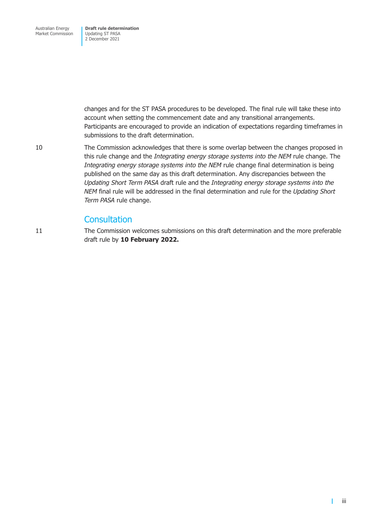changes and for the ST PASA procedures to be developed. The final rule will take these into account when setting the commencement date and any transitional arrangements. Participants are encouraged to provide an indication of expectations regarding timeframes in submissions to the draft determination.

10 The Commission acknowledges that there is some overlap between the changes proposed in this rule change and the *Integrating energy storage systems into the NEM* rule change. The *Integrating energy storage systems into the NEM* rule change final determination is being published on the same day as this draft determination. Any discrepancies between the *Updating Short Term PASA* draft rule and the *Integrating energy storage systems into the NEM* final rule will be addressed in the final determination and rule for the *Updating Short Term PASA* rule change.

### **Consultation**

11 The Commission welcomes submissions on this draft determination and the more preferable draft rule by **10 February 2022.**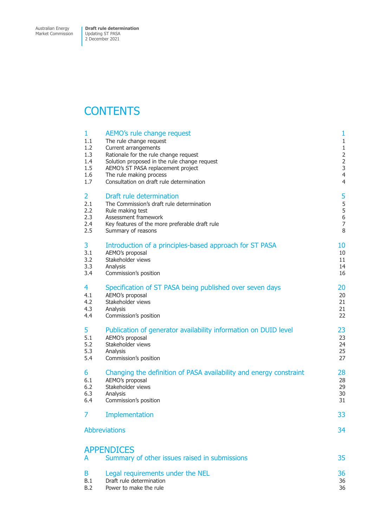Market Commission

# **CONTENTS**

| 1              | AEMO's rule change request                                         | 1              |
|----------------|--------------------------------------------------------------------|----------------|
| 1.1            | The rule change request                                            | $\mathbf{1}$   |
| 1.2            | Current arrangements                                               | $1\,$          |
| 1.3            | Rationale for the rule change request                              | $\overline{2}$ |
| 1.4            | Solution proposed in the rule change request                       | $\overline{2}$ |
| 1.5            | AEMO's ST PASA replacement project                                 | 3              |
| 1.6            | The rule making process                                            | $\overline{4}$ |
| 1.7            | Consultation on draft rule determination                           | $\overline{4}$ |
| $\overline{2}$ | Draft rule determination                                           | 5              |
| 2.1            | The Commission's draft rule determination                          | 5              |
| 2.2            | Rule making test                                                   | 5              |
| 2.3            | Assessment framework                                               | $\,$ 6 $\,$    |
| 2.4            | Key features of the more preferable draft rule                     | $\overline{7}$ |
| 2.5            | Summary of reasons                                                 | 8              |
| 3              | Introduction of a principles-based approach for ST PASA            | 10             |
| 3.1            | AEMO's proposal                                                    | 10             |
| 3.2            | Stakeholder views                                                  | 11             |
| 3.3            | Analysis                                                           | 14             |
| 3.4            | Commission's position                                              | 16             |
| 4              | Specification of ST PASA being published over seven days           | 20             |
| 4.1            | AEMO's proposal                                                    | 20             |
| 4.2            | Stakeholder views                                                  | 21             |
| 4.3            | Analysis                                                           | 21             |
| 4.4            | Commission's position                                              | 22             |
| 5              | Publication of generator availability information on DUID level    | 23             |
| 5.1            | AEMO's proposal                                                    | 23             |
| 5.2            | Stakeholder views                                                  | 24             |
| 5.3            | Analysis                                                           | 25             |
| 5.4            | Commission's position                                              | 27             |
| 6              | Changing the definition of PASA availability and energy constraint | 28             |
| 6.1            | AEMO's proposal                                                    | 28             |
| 6.2            | Stakeholder views                                                  | 29             |
| 6.3            | Analysis                                                           | 30             |
| 6.4            | Commission's position                                              | 31             |
| 7              | Implementation                                                     | 33             |
|                | <b>Abbreviations</b>                                               | 34             |
| A              | <b>APPENDICES</b><br>Summary of other issues raised in submissions | 35             |
| B              | Legal requirements under the NEL                                   | 36             |
| B.1            | Draft rule determination                                           | 36             |
| B.2            | Power to make the rule                                             | 36             |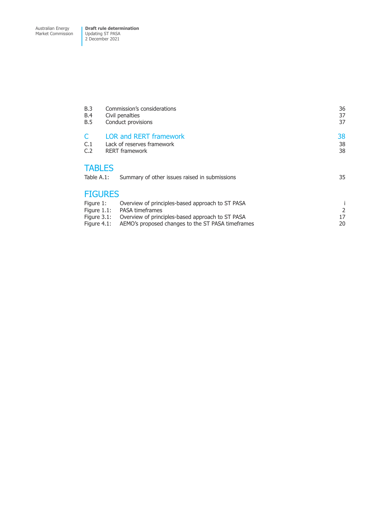Market Commission

| B.3<br><b>B.4</b><br><b>B.5</b>                                                     | Commission's considerations<br>Civil penalties<br>Conduct provisions                                   | 36<br>37<br>37 |  |
|-------------------------------------------------------------------------------------|--------------------------------------------------------------------------------------------------------|----------------|--|
| C.1                                                                                 | <b>LOR and RERT framework</b><br>Lack of reserves framework                                            | 38<br>38       |  |
| C.2<br><b>TABLES</b>                                                                | <b>RERT</b> framework                                                                                  | 38             |  |
| Table A.1:<br>Summary of other issues raised in submissions<br>35<br><b>FIGURES</b> |                                                                                                        |                |  |
| Figure 1:<br>Figure $1.1$ :                                                         | Overview of principles-based approach to ST PASA<br><b>PASA timeframes</b>                             | 2              |  |
| Figure $3.1$ :<br>Figure $4.1$ :                                                    | Overview of principles-based approach to ST PASA<br>AEMO's proposed changes to the ST PASA time frames | 17<br>20       |  |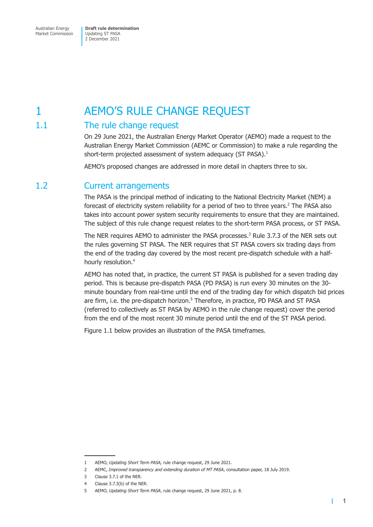# <span id="page-7-0"></span>1 AEMO'S RULE CHANGE REQUEST

## 1.1 The rule change request

On 29 June 2021, the Australian Energy Market Operator (AEMO) made a request to the Australian Energy Market Commission (AEMC or Commission) to make a rule regarding the short-term projected assessment of system adequacy (ST PASA).<sup>1</sup>

AEMO's proposed changes are addressed in more detail in chapters three to six.

## 1.2 Current arrangements

The PASA is the principal method of indicating to the National Electricity Market (NEM) a forecast of electricity system reliability for a period of two to three years.<sup>2</sup> The PASA also takes into account power system security requirements to ensure that they are maintained. The subject of this rule change request relates to the short-term PASA process, or ST PASA.

The NER requires AEMO to administer the PASA processes.<sup>3</sup> Rule 3.7.3 of the NER sets out the rules governing ST PASA. The NER requires that ST PASA covers six trading days from the end of the trading day covered by the most recent pre-dispatch schedule with a halfhourly resolution.<sup>4</sup>

AEMO has noted that, in practice, the current ST PASA is published for a seven trading day period. This is because pre-dispatch PASA (PD PASA) is run every 30 minutes on the 30 minute boundary from real-time until the end of the trading day for which dispatch bid prices are firm, i.e. the pre-dispatch horizon.<sup>5</sup> Therefore, in practice, PD PASA and ST PASA (referred to collectively as ST PASA by AEMO in the rule change request) cover the period from the end of the most recent 30 minute period until the end of the ST PASA period.

Figure 1.1 below provides an illustration of the PASA timeframes.

<sup>1</sup> AEMO, *Updating Short Term PASA,* rule change request, 29 June 2021.

<sup>2</sup> AEMC, *Improved transparency and extending duration of MT PASA*, consultation paper, 18 July 2019.

<sup>3</sup> Clause 3.7.1 of the NER.

<sup>4</sup> Clause 3.7.3(b) of the NER.

<sup>5</sup> AEMO, *Updating Short Term PASA*, rule change request, 29 June 2021, p. 8.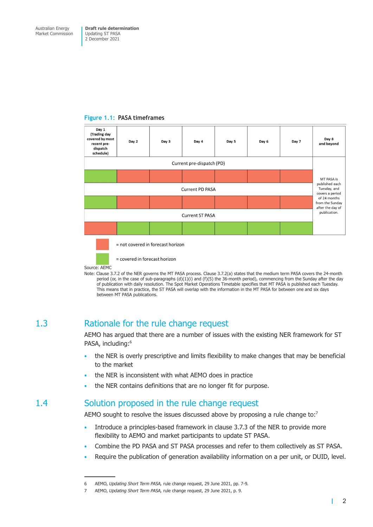#### <span id="page-8-0"></span>**Figure 1.1: PASA timeframes**



Source: AEMC

Note: Clause 3.7.2 of the NER governs the MT PASA process. Clause 3.7.2(a) states that the medium term PASA covers the 24-month period (or, in the case of sub-paragraphs (d)(1)(i) and (f)(5) the 36-month period), commencing from the Sunday after the day of publication with daily resolution. The Spot Market Operations Timetable specifies that MT PASA is published each Tuesday. This means that in practice, the ST PASA will overlap with the information in the MT PASA for between one and six days between MT PASA publications.

## 1.3 Rationale for the rule change request

AEMO has argued that there are a number of issues with the existing NER framework for ST PASA, including:<sup>6</sup>

- the NER is overly prescriptive and limits flexibility to make changes that may be beneficial to the market
- the NER is inconsistent with what AEMO does in practice
- the NER contains definitions that are no longer fit for purpose.

## 1.4 Solution proposed in the rule change request

AEMO sought to resolve the issues discussed above by proposing a rule change to: $7$ 

- Introduce a principles-based framework in clause 3.7.3 of the NER to provide more flexibility to AEMO and market participants to update ST PASA.
- Combine the PD PASA and ST PASA processes and refer to them collectively as ST PASA.
- Require the publication of generation availability information on a per unit, or DUID, level.

<sup>6</sup> AEMO, *Updating Short Term PASA,* rule change request, 29 June 2021, pp. 7-9*.*

<sup>7</sup> AEMO, *Updating Short Term PASA,* rule change request, 29 June 2021, p. 9.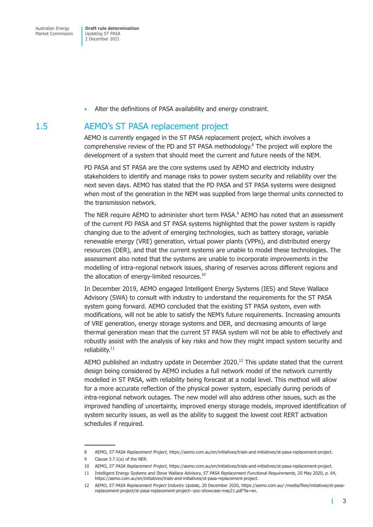• Alter the definitions of PASA availability and energy constraint.

## <span id="page-9-0"></span>1.5 AEMO's ST PASA replacement project

AEMO is currently engaged in the ST PASA replacement project, which involves a comprehensive review of the PD and ST PASA methodology.<sup>8</sup> The project will explore the development of a system that should meet the current and future needs of the NEM.

PD PASA and ST PASA are the core systems used by AEMO and electricity industry stakeholders to identify and manage risks to power system security and reliability over the next seven days. AEMO has stated that the PD PASA and ST PASA systems were designed when most of the generation in the NEM was supplied from large thermal units connected to the transmission network.

The NER require AEMO to administer short term PASA.<sup>9</sup> AEMO has noted that an assessment of the current PD PASA and ST PASA systems highlighted that the power system is rapidly changing due to the advent of emerging technologies, such as battery storage, variable renewable energy (VRE) generation, virtual power plants (VPPs), and distributed energy resources (DER), and that the current systems are unable to model these technologies. The assessment also noted that the systems are unable to incorporate improvements in the modelling of intra-regional network issues, sharing of reserves across different regions and the allocation of energy-limited resources.<sup>10</sup>

In December 2019, AEMO engaged Intelligent Energy Systems (IES) and Steve Wallace Advisory (SWA) to consult with industry to understand the requirements for the ST PASA system going forward. AEMO concluded that the existing ST PASA system, even with modifications, will not be able to satisfy the NEM's future requirements. Increasing amounts of VRE generation, energy storage systems and DER, and decreasing amounts of large thermal generation mean that the current ST PASA system will not be able to effectively and robustly assist with the analysis of key risks and how they might impact system security and reliability.<sup>11</sup>

AEMO published an industry update in December 2020.<sup>12</sup> This update stated that the current design being considered by AEMO includes a full network model of the network currently modelled in ST PASA, with reliability being forecast at a nodal level. This method will allow for a more accurate reflection of the physical power system, especially during periods of intra-regional network outages. The new model will also address other issues, such as the improved handling of uncertainty, improved energy storage models, improved identification of system security issues, as well as the ability to suggest the lowest cost RERT activation schedules if required.

<sup>8</sup> AEMO, *ST PASA Replacement Project*, https://aemo.com.au/en/initiatives/trials-and-initiatives/st-pasa-replacement-project.

<sup>9</sup> Clause 3.7.1(a) of the NER.

<sup>10</sup> AEMO, *ST PASA Replacement Project*, https://aemo.com.au/en/initiatives/trials-and-initiatives/st-pasa-replacement-project.

<sup>11</sup> Intelligent Energy Systems and Steve Wallace Advisory, *ST PASA Replacement Functional Requirements*, 20 May 2020, p. 64, https://aemo.com.au/en/initiatives/trials-and-initiatives/st-pasa-replacement-project.

<sup>12</sup> AEMO, *ST PASA Replacement Project Industry Update*, 20 December 2020, https://aemo.com.au/-/media/files/initiatives/st-pasareplacement-project/st-pasa-replacement-project—poc-showcase-may21.pdf?la=en.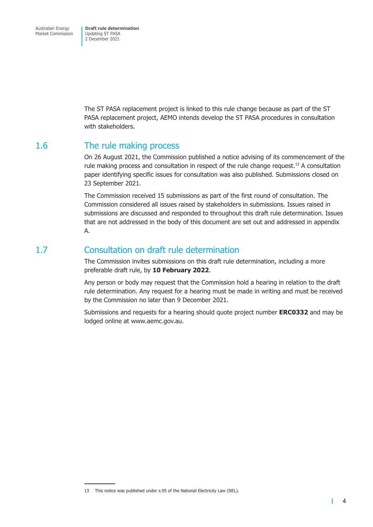<span id="page-10-0"></span>The ST PASA replacement project is linked to this rule change because as part of the ST PASA replacement project, AEMO intends develop the ST PASA procedures in consultation with stakeholders.

## 1.6 The rule making process

On 26 August 2021, the Commission published a notice advising of its commencement of the rule making process and consultation in respect of the rule change request.<sup>13</sup> A consultation paper identifying specific issues for consultation was also published. Submissions closed on 23 September 2021.

The Commission received 15 submissions as part of the first round of consultation. The Commission considered all issues raised by stakeholders in submissions. Issues raised in submissions are discussed and responded to throughout this draft rule determination. Issues that are not addressed in the body of this document are set out and addressed in appendix A.

## 1.7 Consultation on draft rule determination

The Commission invites submissions on this draft rule determination, including a more preferable draft rule, by **10 February 2022**.

Any person or body may request that the Commission hold a hearing in relation to the draft rule determination. Any request for a hearing must be made in writing and must be received by the Commission no later than 9 December 2021.

Submissions and requests for a hearing should quote project number **ERC0332** and may be lodged online at www.aemc.gov.au.

<sup>13</sup> This notice was published under s.95 of the National Electricity Law (NEL).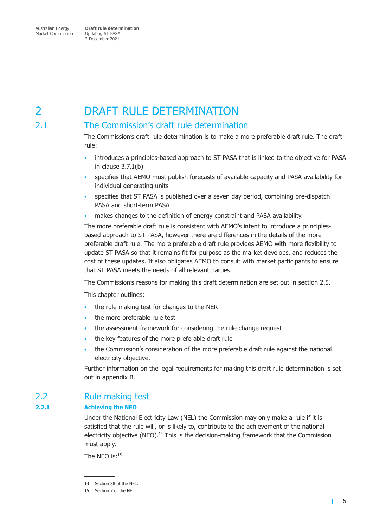<span id="page-11-0"></span>Market Commission

Updating ST PASA 2 December 2021

# 2 DRAFT RULE DETERMINATION

## 2.1 The Commission's draft rule determination

The Commission's draft rule determination is to make a more preferable draft rule. The draft rule:

- introduces a principles-based approach to ST PASA that is linked to the objective for PASA in clause 3.7.1(b)
- specifies that AEMO must publish forecasts of available capacity and PASA availability for individual generating units
- specifies that ST PASA is published over a seven day period, combining pre-dispatch PASA and short-term PASA
- makes changes to the definition of energy constraint and PASA availability.

The more preferable draft rule is consistent with AEMO's intent to introduce a principlesbased approach to ST PASA, however there are differences in the details of the more preferable draft rule. The more preferable draft rule provides AEMO with more flexibility to update ST PASA so that it remains fit for purpose as the market develops, and reduces the cost of these updates. It also obligates AEMO to consult with market participants to ensure that ST PASA meets the needs of all relevant parties.

The Commission's reasons for making this draft determination are set out in section 2.5.

This chapter outlines:

- the rule making test for changes to the NER
- the more preferable rule test
- the assessment framework for considering the rule change request
- the key features of the more preferable draft rule
- the Commission's consideration of the more preferable draft rule against the national electricity objective.

Further information on the legal requirements for making this draft rule determination is set out in appendix B.

## 2.2 Rule making test

### **2.2.1 Achieving the NEO**

Under the National Electricity Law (NEL) the Commission may only make a rule if it is satisfied that the rule will, or is likely to, contribute to the achievement of the national electricity objective (NEO).<sup>14</sup> This is the decision-making framework that the Commission must apply.

The NFO  $is:$ <sup>15</sup>

<sup>14</sup> Section 88 of the NEL.

<sup>15</sup> Section 7 of the NEL.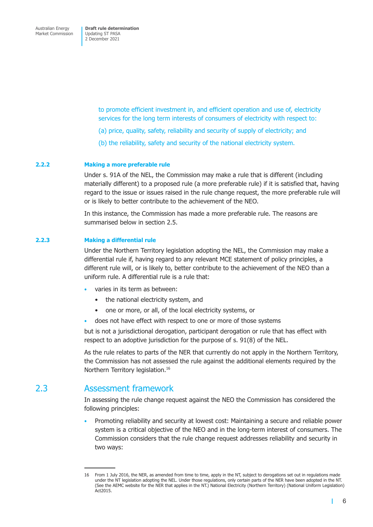> <span id="page-12-0"></span>to promote efficient investment in, and efficient operation and use of, electricity services for the long term interests of consumers of electricity with respect to:

- (a) price, quality, safety, reliability and security of supply of electricity; and
- (b) the reliability, safety and security of the national electricity system.

#### **2.2.2 Making a more preferable rule**

Under s. 91A of the NEL, the Commission may make a rule that is different (including materially different) to a proposed rule (a more preferable rule) if it is satisfied that, having regard to the issue or issues raised in the rule change request, the more preferable rule will or is likely to better contribute to the achievement of the NEO.

In this instance, the Commission has made a more preferable rule. The reasons are summarised below in section 2.5.

#### **2.2.3 Making a differential rule**

Under the Northern Territory legislation adopting the NEL, the Commission may make a differential rule if, having regard to any relevant MCE statement of policy principles, a different rule will, or is likely to, better contribute to the achievement of the NEO than a uniform rule. A differential rule is a rule that:

- varies in its term as between:
	- the national electricity system, and
	- one or more, or all, of the local electricity systems, or
- does not have effect with respect to one or more of those systems

but is not a jurisdictional derogation, participant derogation or rule that has effect with respect to an adoptive jurisdiction for the purpose of s. 91(8) of the NEL.

As the rule relates to parts of the NER that currently do not apply in the Northern Territory, the Commission has not assessed the rule against the additional elements required by the Northern Territory legislation.<sup>16</sup>

## 2.3 Assessment framework

In assessing the rule change request against the NEO the Commission has considered the following principles:

• Promoting reliability and security at lowest cost: Maintaining a secure and reliable power system is a critical objective of the NEO and in the long-term interest of consumers. The Commission considers that the rule change request addresses reliability and security in two ways:

п

<sup>16</sup> From 1 July 2016, the NER, as amended from time to time, apply in the NT, subject to derogations set out in regulations made under the NT legislation adopting the NEL. Under those regulations, only certain parts of the NER have been adopted in the NT. (See the AEMC website for the NER that applies in the NT.) National Electricity (Northern Territory) (National Uniform Legislation) Act2015.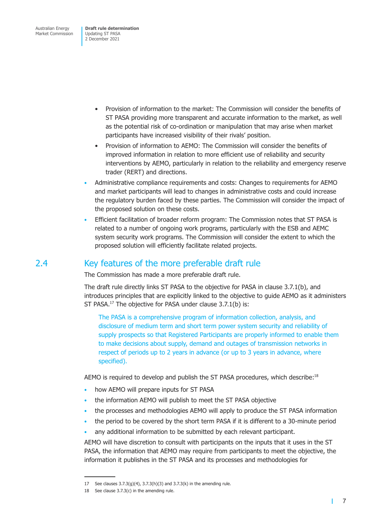- <span id="page-13-0"></span>• Provision of information to the market: The Commission will consider the benefits of ST PASA providing more transparent and accurate information to the market, as well as the potential risk of co-ordination or manipulation that may arise when market participants have increased visibility of their rivals' position.
- Provision of information to AEMO: The Commission will consider the benefits of improved information in relation to more efficient use of reliability and security interventions by AEMO, particularly in relation to the reliability and emergency reserve trader (RERT) and directions.
- Administrative compliance requirements and costs: Changes to requirements for AEMO and market participants will lead to changes in administrative costs and could increase the regulatory burden faced by these parties. The Commission will consider the impact of the proposed solution on these costs.
- Efficient facilitation of broader reform program: The Commission notes that ST PASA is related to a number of ongoing work programs, particularly with the ESB and AEMC system security work programs. The Commission will consider the extent to which the proposed solution will efficiently facilitate related projects.

## 2.4 Key features of the more preferable draft rule

The Commission has made a more preferable draft rule.

The draft rule directly links ST PASA to the objective for PASA in clause 3.7.1(b), and introduces principles that are explicitly linked to the objective to guide AEMO as it administers ST PASA.<sup>17</sup> The objective for PASA under clause 3.7.1(b) is:

The PASA is a comprehensive program of information collection, analysis, and disclosure of medium term and short term power system security and reliability of supply prospects so that Registered Participants are properly informed to enable them to make decisions about supply, demand and outages of transmission networks in respect of periods up to 2 years in advance (or up to 3 years in advance, where specified).

AEMO is required to develop and publish the ST PASA procedures, which describe:<sup>18</sup>

- how AEMO will prepare inputs for ST PASA
- the information AEMO will publish to meet the ST PASA objective
- the processes and methodologies AEMO will apply to produce the ST PASA information
- the period to be covered by the short term PASA if it is different to a 30-minute period
- any additional information to be submitted by each relevant participant.

AEMO will have discretion to consult with participants on the inputs that it uses in the ST PASA, the information that AEMO may require from participants to meet the objective, the information it publishes in the ST PASA and its processes and methodologies for

<span id="page-13-1"></span>г

<sup>17</sup> See clauses  $3.7.3(g)(4)$ ,  $3.7.3(h)(3)$  and  $3.7.3(k)$  in the amending rule.

<sup>18</sup> See clause 3.7.3(c) in the amending rule.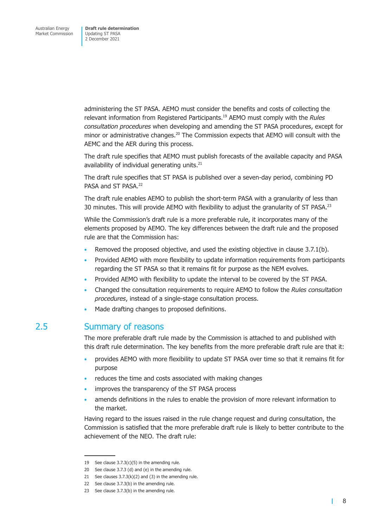<span id="page-14-0"></span>administering the ST PASA. AEMO must consider the benefits and costs of collecting the relevant information from Registered Participants.19 AEMO must comply with the *Rules consultation procedures* when developing and amending the ST PASA procedures, except for minor or administrative changes.<sup>20</sup> The Commission expects that AEMO will consult with the AEMC and the AER during this process.

The draft rule specifies that AEMO must publish forecasts of the available capacity and PASA availability of individual generating units.<sup>21</sup>

The draft rule specifies that ST PASA is published over a seven-day period, combining PD PASA and ST PASA.<sup>22</sup>

The draft rule enables AEMO to publish the short-term PASA with a granularity of less than 30 minutes. This will provide AEMO with flexibility to adjust the granularity of ST PASA.<sup>23</sup>

While the Commission's draft rule is a more preferable rule, it incorporates many of the elements proposed by AEMO. The key differences between the draft rule and the proposed rule are that the Commission has:

- Removed the proposed objective, and used the existing objective in clause 3.7.1(b).
- Provided AEMO with more flexibility to update information requirements from participants regarding the ST PASA so that it remains fit for purpose as the NEM evolves.
- Provided AEMO with flexibility to update the interval to be covered by the ST PASA.
- Changed the consultation requirements to require AEMO to follow the *Rules consultation procedures*, instead of a single-stage consultation process.
- Made drafting changes to proposed definitions.

## 2.5 Summary of reasons

The more preferable draft rule made by the Commission is attached to and published with this draft rule determination. The key benefits from the more preferable draft rule are that it:

- provides AEMO with more flexibility to update ST PASA over time so that it remains fit for purpose
- reduces the time and costs associated with making changes
- improves the transparency of the ST PASA process
- amends definitions in the rules to enable the provision of more relevant information to the market.

Having regard to the issues raised in the rule change request and during consultation, the Commission is satisfied that the more preferable draft rule is likely to better contribute to the achievement of the NEO. The draft rule:

П

<sup>19</sup> See clause  $3.7.3(c)(5)$  in the amending rule.

<sup>20</sup> See clause 3.7.3 (d) and (e) in the amending rule.

<sup>21</sup> See clauses  $3.7.3(k)(2)$  and (3) in the amending rule.

<sup>22</sup> See clause 3.7.3(b) in the amending rule.

<sup>23</sup> See clause 3.7.3(b) in the amending rule.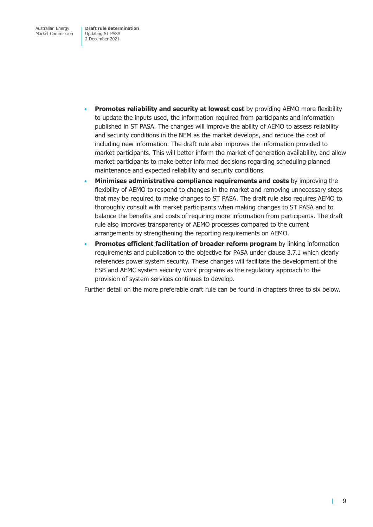- **Promotes reliability and security at lowest cost** by providing AEMO more flexibility to update the inputs used, the information required from participants and information published in ST PASA. The changes will improve the ability of AEMO to assess reliability and security conditions in the NEM as the market develops, and reduce the cost of including new information. The draft rule also improves the information provided to market participants. This will better inform the market of generation availability, and allow market participants to make better informed decisions regarding scheduling planned maintenance and expected reliability and security conditions.
- **Minimises administrative compliance requirements and costs** by improving the flexibility of AEMO to respond to changes in the market and removing unnecessary steps that may be required to make changes to ST PASA. The draft rule also requires AEMO to thoroughly consult with market participants when making changes to ST PASA and to balance the benefits and costs of requiring more information from participants. The draft rule also improves transparency of AEMO processes compared to the current arrangements by strengthening the reporting requirements on AEMO.
- **Promotes efficient facilitation of broader reform program** by linking information requirements and publication to the objective for PASA under clause 3.7.1 which clearly references power system security. These changes will facilitate the development of the ESB and AEMC system security work programs as the regulatory approach to the provision of system services continues to develop.

Further detail on the more preferable draft rule can be found in chapters three to six below.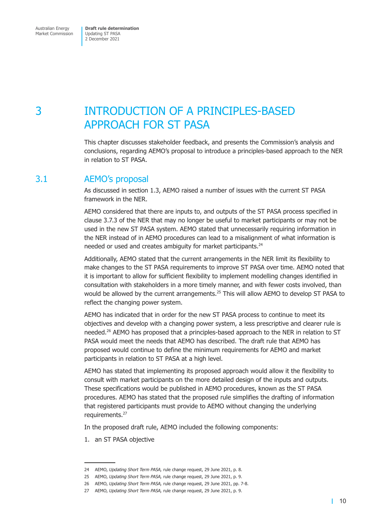# <span id="page-16-0"></span>3 INTRODUCTION OF A PRINCIPLES-BASED APPROACH FOR ST PASA

This chapter discusses stakeholder feedback, and presents the Commission's analysis and conclusions, regarding AEMO's proposal to introduce a principles-based approach to the NER in relation to ST PASA.

## 3.1 AEMO's proposal

As discussed in section 1.3, AEMO raised a number of issues with the current ST PASA framework in the NER.

AEMO considered that there are inputs to, and outputs of the ST PASA process specified in clause 3.7.3 of the NER that may no longer be useful to market participants or may not be used in the new ST PASA system. AEMO stated that unnecessarily requiring information in the NER instead of in AEMO procedures can lead to a misalignment of what information is needed or used and creates ambiguity for market participants.<sup>24</sup>

Additionally, AEMO stated that the current arrangements in the NER limit its flexibility to make changes to the ST PASA requirements to improve ST PASA over time. AEMO noted that it is important to allow for sufficient flexibility to implement modelling changes identified in consultation with stakeholders in a more timely manner, and with fewer costs involved, than would be allowed by the current arrangements.<sup>25</sup> This will allow AEMO to develop ST PASA to reflect the changing power system.

AEMO has indicated that in order for the new ST PASA process to continue to meet its objectives and develop with a changing power system, a less prescriptive and clearer rule is needed.<sup>26</sup> AEMO has proposed that a principles-based approach to the NER in relation to ST PASA would meet the needs that AEMO has described. The draft rule that AEMO has proposed would continue to define the minimum requirements for AEMO and market participants in relation to ST PASA at a high level.

AEMO has stated that implementing its proposed approach would allow it the flexibility to consult with market participants on the more detailed design of the inputs and outputs. These specifications would be published in AEMO procedures, known as the ST PASA procedures. AEMO has stated that the proposed rule simplifies the drafting of information that registered participants must provide to AEMO without changing the underlying requirements.<sup>27</sup>

In the proposed draft rule, AEMO included the following components:

1. an ST PASA objective

<sup>24</sup> AEMO, *Updating Short Term PASA,* rule change request, 29 June 2021, p. 8.

<sup>25</sup> AEMO, *Updating Short Term PASA,* rule change request, 29 June 2021, p. 9.

<sup>26</sup> AEMO, *Updating Short Term PASA,* rule change request, 29 June 2021, pp. 7-8.

<sup>27</sup> AEMO, *Updating Short Term PASA,* rule change request, 29 June 2021, p. 9.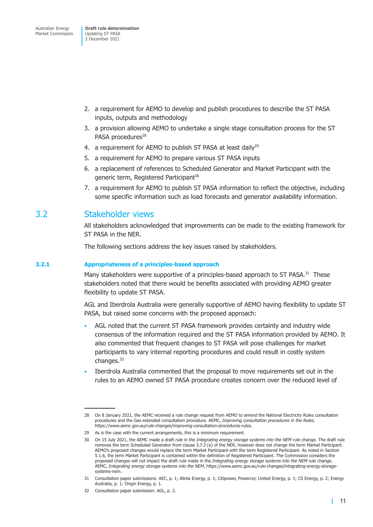- <span id="page-17-0"></span>2. a requirement for AEMO to develop and publish procedures to describe the ST PASA inputs, outputs and methodology
- 3. a provision allowing AEMO to undertake a single stage consultation process for the ST PASA procedures<sup>28</sup>
- 4. a requirement for AEMO to publish ST PASA at least daily<sup>29</sup>
- 5. a requirement for AEMO to prepare various ST PASA inputs
- 6. a replacement of references to Scheduled Generator and Market Participant with the generic term, Registered Participant<sup>30</sup>
- 7. a requirement for AEMO to publish ST PASA information to reflect the objective, including some specific information such as load forecasts and generator availability information.

## 3.2 Stakeholder views

All stakeholders acknowledged that improvements can be made to the existing framework for ST PASA in the NER.

The following sections address the key issues raised by stakeholders.

#### **3.2.1 Appropriateness of a principles-based approach**

Many stakeholders were supportive of a principles-based approach to ST PASA.<sup>31</sup> These stakeholders noted that there would be benefits associated with providing AEMO greater flexibility to update ST PASA.

AGL and Iberdrola Australia were generally supportive of AEMO having flexibility to update ST PASA, but raised some concerns with the proposed approach:

- AGL noted that the current ST PASA framework provides certainty and industry wide consensus of the information required and the ST PASA information provided by AEMO. It also commented that frequent changes to ST PASA will pose challenges for market participants to vary internal reporting procedures and could result in costly system changes.<sup>32</sup>
- Iberdrola Australia commented that the proposal to move requirements set out in the rules to an AEMO owned ST PASA procedure creates concern over the reduced level of

<sup>28</sup> On 8 January 2021, the AEMC received a rule change request from AEMO to amend the National Electricity Rules consultation procedures and the Gas extended consultation procedure. AEMC, *Improving consultation procedures in the Rules*, https://www.aemc.gov.au/rule-changes/improving-consultation-procedures-rules.

<sup>29</sup> As is the case with the current arrangements, this is a minimum requirement.

<sup>30</sup> On 15 July 2021, the AEMC made a draft rule in the *Integrating energy storage systems into the NEM* rule change. The draft rule removes the term Scheduled Generator from clause 3.7.3 (e) of the NER, however does not change the term Market Participant. AEMO's proposed changes would replace the term Market Participant with the term Registered Participant. As noted in Section 5.1.6, the term Market Participant is contained within the definition of Registered Participant. The Commission considers the proposed changes will not impact the draft rule made in the *Integrating energy storage systems into the NEM* rule change. AEMC, *Integrating energy storage systems into the NEM*, https://www.aemc.gov.au/rule-changes/integrating-energy-storagesystems-nem.

<sup>31</sup> Consultation paper submissions: AEC, p. 1; Alinta Energy, p. 1; Citipower, Powercor, United Energy, p. 1; CS Energy, p. 2; Energy Australia, p. 1; Origin Energy, p. 1.

<sup>32</sup> Consultation paper submission: AGL, p. 2.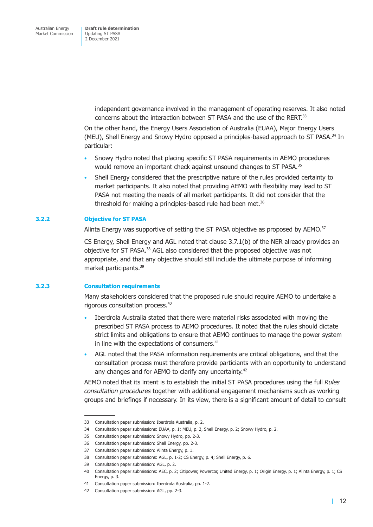> independent governance involved in the management of operating reserves. It also noted concerns about the interaction between ST PASA and the use of the RERT.33

On the other hand, the Energy Users Association of Australia (EUAA), Major Energy Users (MEU), Shell Energy and Snowy Hydro opposed a principles-based approach to ST PASA. $34$  In particular:

- Snowy Hydro noted that placing specific ST PASA requirements in AEMO procedures would remove an important check against unsound changes to ST PASA.<sup>35</sup>
- Shell Energy considered that the prescriptive nature of the rules provided certainty to market participants. It also noted that providing AEMO with flexibility may lead to ST PASA not meeting the needs of all market participants. It did not consider that the threshold for making a principles-based rule had been met. $36$

#### **3.2.2 Objective for ST PASA**

Alinta Energy was supportive of setting the ST PASA objective as proposed by AEMO.<sup>37</sup>

CS Energy, Shell Energy and AGL noted that clause 3.7.1(b) of the NER already provides an objective for ST PASA.<sup>38</sup> AGL also considered that the proposed objective was not appropriate, and that any objective should still include the ultimate purpose of informing market participants.39

#### **3.2.3 Consultation requirements**

Many stakeholders considered that the proposed rule should require AEMO to undertake a rigorous consultation process.40

- Iberdrola Australia stated that there were material risks associated with moving the prescribed ST PASA process to AEMO procedures. It noted that the rules should dictate strict limits and obligations to ensure that AEMO continues to manage the power system in line with the expectations of consumers. $41$
- AGL noted that the PASA information requirements are critical obligations, and that the consultation process must therefore provide particiants with an opportunity to understand any changes and for AEMO to clarify any uncertainty.<sup>42</sup>

AEMO noted that its intent is to establish the initial ST PASA procedures using the full *Rules consultation procedures* together with additional engagement mechanisms such as working groups and briefings if necessary. In its view, there is a significant amount of detail to consult

<sup>33</sup> Consultation paper submission: Iberdrola Australia, p. 2.

<sup>34</sup> Consultation paper submissions: EUAA, p. 1; MEU, p. 2, Shell Energy, p. 2; Snowy Hydro, p. 2.

<sup>35</sup> Consultation paper submission: Snowy Hydro, pp. 2-3.

<sup>36</sup> Consultation paper submission: Shell Energy, pp. 2-3.

<sup>37</sup> Consultation paper submission: Alinta Energy, p. 1.

<sup>38</sup> Consultation paper submissions: AGL, p. 1-2; CS Energy, p. 4; Shell Energy, p. 6.

<sup>39</sup> Consultation paper submission: AGL, p. 2.

<sup>40</sup> Consultation paper submissions: AEC, p. 2; Citipower, Powercor, United Energy, p. 1; Origin Energy, p. 1; Alinta Energy, p. 1; CS Energy, p. 3.

<sup>41</sup> Consultation paper submission: Iberdrola Australia, pp. 1-2.

<sup>42</sup> Consultation paper submission: AGL, pp. 2-3.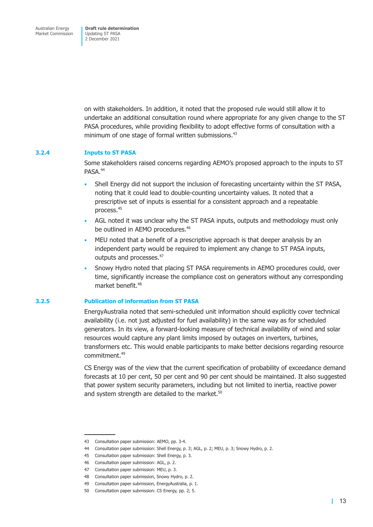Australian Energy Market Commission

**Draft rule determination**  Updating ST PASA 2 December 2021

on with stakeholders. In addition, it noted that the proposed rule would still allow it to undertake an additional consultation round where appropriate for any given change to the ST PASA procedures, while providing flexibility to adopt effective forms of consultation with a minimum of one stage of formal written submissions.<sup>43</sup>

#### **3.2.4 Inputs to ST PASA**

Some stakeholders raised concerns regarding AEMO's proposed approach to the inputs to ST PASA.<sup>44</sup>

- Shell Energy did not support the inclusion of forecasting uncertainty within the ST PASA, noting that it could lead to double-counting uncertainty values. It noted that a prescriptive set of inputs is essential for a consistent approach and a repeatable process.45
- AGL noted it was unclear why the ST PASA inputs, outputs and methodology must only be outlined in AEMO procedures.<sup>46</sup>
- MEU noted that a benefit of a prescriptive approach is that deeper analysis by an independent party would be required to implement any change to ST PASA inputs, outputs and processes.<sup>47</sup>
- Snowy Hydro noted that placing ST PASA requirements in AEMO procedures could, over time, significantly increase the compliance cost on generators without any corresponding market benefit 48

#### **3.2.5 Publication of information from ST PASA**

EnergyAustralia noted that semi-scheduled unit information should explicitly cover technical availability (i.e. not just adjusted for fuel availability) in the same way as for scheduled generators. In its view, a forward-looking measure of technical availability of wind and solar resources would capture any plant limits imposed by outages on inverters, turbines, transformers etc. This would enable participants to make better decisions regarding resource commitment.49

CS Energy was of the view that the current specification of probability of exceedance demand forecasts at 10 per cent, 50 per cent and 90 per cent should be maintained. It also suggested that power system security parameters, including but not limited to inertia, reactive power and system strength are detailed to the market.<sup>50</sup>

<sup>43</sup> Consultation paper submission: AEMO, pp. 3-4.

<sup>44</sup> Consultation paper submission: Shell Energy, p. 3; AGL, p. 2; MEU, p. 3; Snowy Hydro, p. 2.

<sup>45</sup> Consultation paper submission: Shell Energy, p. 3.

<sup>46</sup> Consultation paper submission: AGL, p. 2.

<sup>47</sup> Consultation paper submission: MEU, p. 3.

<sup>48</sup> Consultation paper submission, Snowy Hydro, p. 2.

<sup>49</sup> Consultation paper submission, EnergyAustralia, p. 1.

<sup>50</sup> Consultation paper submission: CS Energy, pp. 2; 5.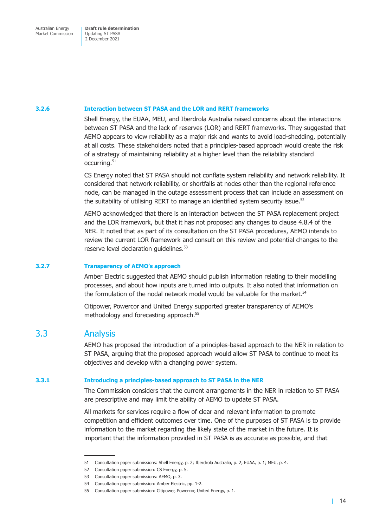#### <span id="page-20-0"></span>**3.2.6 Interaction between ST PASA and the LOR and RERT frameworks**

Shell Energy, the EUAA, MEU, and Iberdrola Australia raised concerns about the interactions between ST PASA and the lack of reserves (LOR) and RERT frameworks. They suggested that AEMO appears to view reliability as a major risk and wants to avoid load-shedding, potentially at all costs. These stakeholders noted that a principles-based approach would create the risk of a strategy of maintaining reliability at a higher level than the reliability standard occurring.<sup>51</sup>

CS Energy noted that ST PASA should not conflate system reliability and network reliability. It considered that network reliability, or shortfalls at nodes other than the regional reference node, can be managed in the outage assessment process that can include an assessment on the suitability of utilising RERT to manage an identified system security issue.<sup>52</sup>

AEMO acknowledged that there is an interaction between the ST PASA replacement project and the LOR framework, but that it has not proposed any changes to clause 4.8.4 of the NER. It noted that as part of its consultation on the ST PASA procedures, AEMO intends to review the current LOR framework and consult on this review and potential changes to the reserve level declaration guidelines.<sup>53</sup>

#### **3.2.7 Transparency of AEMO's approach**

Amber Electric suggested that AEMO should publish information relating to their modelling processes, and about how inputs are turned into outputs. It also noted that information on the formulation of the nodal network model would be valuable for the market.<sup>54</sup>

Citipower, Powercor and United Energy supported greater transparency of AEMO's methodology and forecasting approach.<sup>55</sup>

## 3.3 Analysis

AEMO has proposed the introduction of a principles-based approach to the NER in relation to ST PASA, arguing that the proposed approach would allow ST PASA to continue to meet its objectives and develop with a changing power system.

#### **3.3.1 Introducing a principles-based approach to ST PASA in the NER**

The Commission considers that the current arrangements in the NER in relation to ST PASA are prescriptive and may limit the ability of AEMO to update ST PASA.

All markets for services require a flow of clear and relevant information to promote competition and efficient outcomes over time. One of the purposes of ST PASA is to provide information to the market regarding the likely state of the market in the future. It is important that the information provided in ST PASA is as accurate as possible, and that

<sup>51</sup> Consultation paper submissions: Shell Energy, p. 2; Iberdrola Australia, p. 2; EUAA, p. 1; MEU, p. 4.

<sup>52</sup> Consultation paper submission: CS Energy, p. 5.

<sup>53</sup> Consultation paper submissions: AEMO, p. 3.

<sup>54</sup> Consultation paper submission: Amber Electric, pp. 1-2.

<sup>55</sup> Consultation paper submission: Citipower, Powercor, United Energy, p. 1.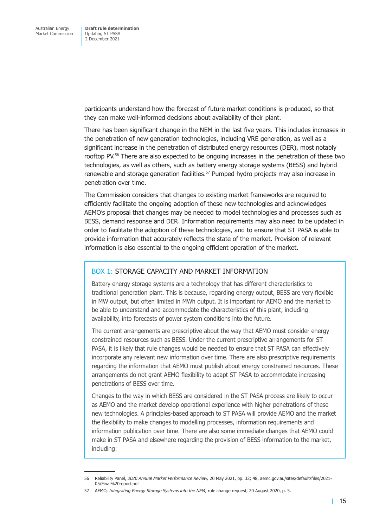participants understand how the forecast of future market conditions is produced, so that they can make well-informed decisions about availability of their plant.

There has been significant change in the NEM in the last five years. This includes increases in the penetration of new generation technologies, including VRE generation, as well as a significant increase in the penetration of distributed energy resources (DER), most notably rooftop PV.<sup>56</sup> There are also expected to be ongoing increases in the penetration of these two technologies, as well as others, such as battery energy storage systems (BESS) and hybrid renewable and storage generation facilities.<sup>57</sup> Pumped hydro projects may also increase in penetration over time.

The Commission considers that changes to existing market frameworks are required to efficiently facilitate the ongoing adoption of these new technologies and acknowledges AEMO's proposal that changes may be needed to model technologies and processes such as BESS, demand response and DER. Information requirements may also need to be updated in order to facilitate the adoption of these technologies, and to ensure that ST PASA is able to provide information that accurately reflects the state of the market. Provision of relevant information is also essential to the ongoing efficient operation of the market.

#### BOX 1: STORAGE CAPACITY AND MARKET INFORMATION

Battery energy storage systems are a technology that has different characteristics to traditional generation plant. This is because, regarding energy output, BESS are very flexible in MW output, but often limited in MWh output. It is important for AEMO and the market to be able to understand and accommodate the characteristics of this plant, including availability, into forecasts of power system conditions into the future.

The current arrangements are prescriptive about the way that AEMO must consider energy constrained resources such as BESS. Under the current prescriptive arrangements for ST PASA, it is likely that rule changes would be needed to ensure that ST PASA can effectively incorporate any relevant new information over time. There are also prescriptive requirements regarding the information that AEMO must publish about energy constrained resources. These arrangements do not grant AEMO flexibility to adapt ST PASA to accommodate increasing penetrations of BESS over time.

Changes to the way in which BESS are considered in the ST PASA process are likely to occur as AEMO and the market develop operational experience with higher penetrations of these new technologies. A principles-based approach to ST PASA will provide AEMO and the market the flexibility to make changes to modelling processes, information requirements and information publication over time. There are also some immediate changes that AEMO could make in ST PASA and elsewhere regarding the provision of BESS information to the market, including:

<sup>56</sup> Reliability Panel, *2020 Annual Market Performance Review,* 20 May 2021, pp. 32; 48, aemc.gov.au/sites/default/files/2021- 05/Final%20report.pdf

<sup>57</sup> AEMO, *Integrating Energy Storage Systems into the NEM,* rule change request, 20 August 2020, p. 5.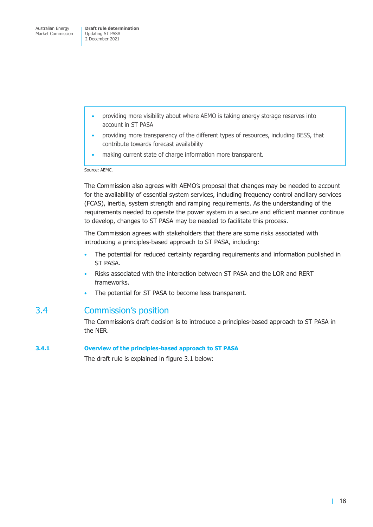- <span id="page-22-0"></span>• providing more visibility about where AEMO is taking energy storage reserves into account in ST PASA
- providing more transparency of the different types of resources, including BESS, that contribute towards forecast availability
- making current state of charge information more transparent.

Source: AEMC.

The Commission also agrees with AEMO's proposal that changes may be needed to account for the availability of essential system services, including frequency control ancillary services (FCAS), inertia, system strength and ramping requirements. As the understanding of the requirements needed to operate the power system in a secure and efficient manner continue to develop, changes to ST PASA may be needed to facilitate this process.

The Commission agrees with stakeholders that there are some risks associated with introducing a principles-based approach to ST PASA, including:

- The potential for reduced certainty regarding requirements and information published in ST PASA.
- Risks associated with the interaction between ST PASA and the LOR and RERT frameworks.
- The potential for ST PASA to become less transparent.

## 3.4 Commission's position

The Commission's draft decision is to introduce a principles-based approach to ST PASA in the NER.

#### **3.4.1 Overview of the principles-based approach to ST PASA**

The draft rule is explained in figure 3.1 below: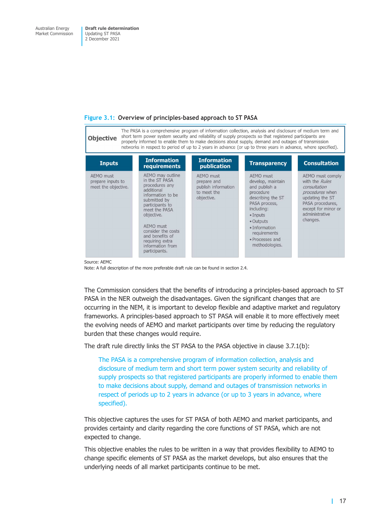

#### **Figure 3.1: Overview of principles-based approach to ST PASA**

Source: AEMC

Note: A full description of the more preferable draft rule can be found in section 2.4.

The Commission considers that the benefits of introducing a principles-based approach to ST PASA in the NER outweigh the disadvantages. Given the significant changes that are occurring in the NEM, it is important to develop flexible and adaptive market and regulatory frameworks. A principles-based approach to ST PASA will enable it to more effectively meet the evolving needs of AEMO and market participants over time by reducing the regulatory burden that these changes would require.

The draft rule directly links the ST PASA to the PASA objective in clause 3.7.1(b):

The PASA is a comprehensive program of information collection, analysis and disclosure of medium term and short term power system security and reliability of supply prospects so that registered participants are properly informed to enable them to make decisions about supply, demand and outages of transmission networks in respect of periods up to 2 years in advance (or up to 3 years in advance, where specified).

This objective captures the uses for ST PASA of both AEMO and market participants, and provides certainty and clarity regarding the core functions of ST PASA, which are not expected to change.

This objective enables the rules to be written in a way that provides flexibility to AEMO to change specific elements of ST PASA as the market develops, but also ensures that the underlying needs of all market participants continue to be met.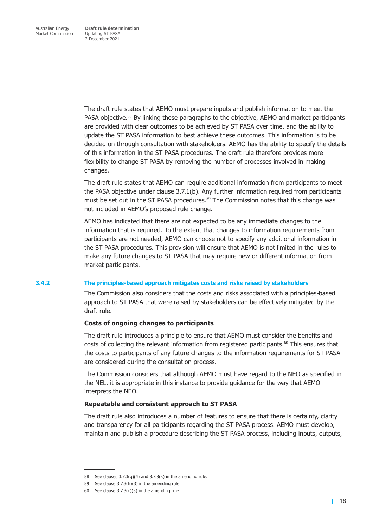The draft rule states that AEMO must prepare inputs and publish information to meet the PASA objective.<sup>58</sup> By linking these paragraphs to the objective, AEMO and market participants are provided with clear outcomes to be achieved by ST PASA over time, and the ability to update the ST PASA information to best achieve these outcomes. This information is to be decided on through consultation with stakeholders. AEMO has the ability to specify the details of this information in the ST PASA procedures. The draft rule therefore provides more flexibility to change ST PASA by removing the number of processes involved in making changes.

The draft rule states that AEMO can require additional information from participants to meet the PASA objective under clause 3.7.1(b). Any further information required from participants must be set out in the ST PASA procedures.<sup>59</sup> The Commission notes that this change was not included in AEMO's proposed rule change.

AEMO has indicated that there are not expected to be any immediate changes to the information that is required. To the extent that changes to information requirements from participants are not needed, AEMO can choose not to specify any additional information in the ST PASA procedures. This provision will ensure that AEMO is not limited in the rules to make any future changes to ST PASA that may require new or different information from market participants.

#### **3.4.2 The principles-based approach mitigates costs and risks raised by stakeholders**

The Commission also considers that the costs and risks associated with a principles-based approach to ST PASA that were raised by stakeholders can be effectively mitigated by the draft rule.

#### **Costs of ongoing changes to participants**

The draft rule introduces a principle to ensure that AEMO must consider the benefits and costs of collecting the relevant information from registered participants.<sup>60</sup> This ensures that the costs to participants of any future changes to the information requirements for ST PASA are considered during the consultation process.

The Commission considers that although AEMO must have regard to the NEO as specified in the NEL, it is appropriate in this instance to provide guidance for the way that AEMO interprets the NEO.

#### **Repeatable and consistent approach to ST PASA**

The draft rule also introduces a number of features to ensure that there is certainty, clarity and transparency for all participants regarding the ST PASA process. AEMO must develop, maintain and publish a procedure describing the ST PASA process, including inputs, outputs,

<sup>58</sup> See clauses  $3.7.3(g)(4)$  and  $3.7.3(k)$  in the amending rule.

<sup>59</sup> See clause 3.7.3(h)(3) in the amending rule.

<sup>60</sup> See clause  $3.7.3(c)(5)$  in the amending rule.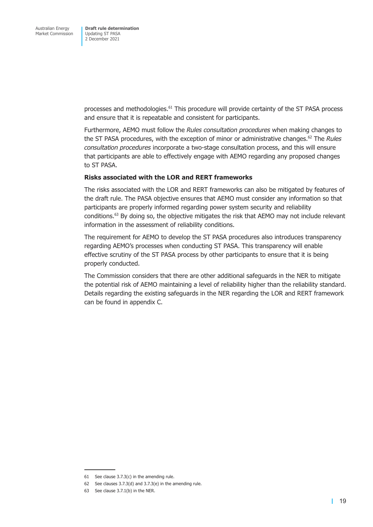processes and methodologies.<sup>61</sup> This procedure will provide certainty of the ST PASA process and ensure that it is repeatable and consistent for participants.

Furthermore, AEMO must follow the *Rules consultation procedures* when making changes to the ST PASA procedures, with the exception of minor or administrative changes.<sup>62</sup> The *Rules consultation procedures* incorporate a two-stage consultation process, and this will ensure that participants are able to effectively engage with AEMO regarding any proposed changes to ST PASA.

#### **Risks associated with the LOR and RERT frameworks**

The risks associated with the LOR and RERT frameworks can also be mitigated by features of the draft rule. The PASA objective ensures that AEMO must consider any information so that participants are properly informed regarding power system security and reliability conditions.63 By doing so, the objective mitigates the risk that AEMO may not include relevant information in the assessment of reliability conditions.

The requirement for AEMO to develop the ST PASA procedures also introduces transparency regarding AEMO's processes when conducting ST PASA. This transparency will enable effective scrutiny of the ST PASA process by other participants to ensure that it is being properly conducted.

The Commission considers that there are other additional safeguards in the NER to mitigate the potential risk of AEMO maintaining a level of reliability higher than the reliability standard. Details regarding the existing safeguards in the NER regarding the LOR and RERT framework can be found in appendix C.

<sup>61</sup> See clause 3.7.3(c) in the amending rule.

<sup>62</sup> See clauses 3.7.3(d) and 3.7.3(e) in the amending rule.

<sup>63</sup> See clause 3.7.1(b) in the NER.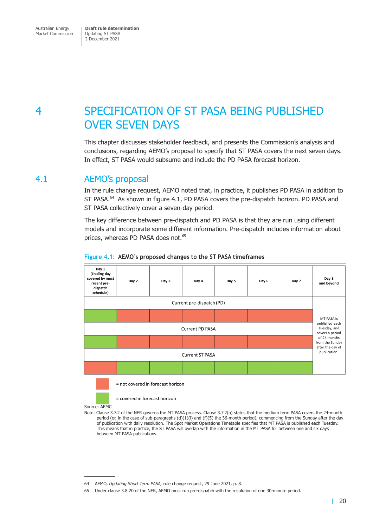# <span id="page-26-0"></span>4 SPECIFICATION OF ST PASA BEING PUBLISHED OVER SEVEN DAYS

This chapter discusses stakeholder feedback, and presents the Commission's analysis and conclusions, regarding AEMO's proposal to specify that ST PASA covers the next seven days. In effect, ST PASA would subsume and include the PD PASA forecast horizon.

## 4.1 AEMO's proposal

In the rule change request, AEMO noted that, in practice, it publishes PD PASA in addition to ST PASA.<sup>64</sup> As shown in figure 4.1, PD PASA covers the pre-dispatch horizon. PD PASA and ST PASA collectively cover a seven-day period.

The key difference between pre-dispatch and PD PASA is that they are run using different models and incorporate some different information. Pre-dispatch includes information about prices, whereas PD PASA does not.<sup>65</sup>



#### **Figure 4.1: AEMO's proposed changes to the ST PASA timeframes**

= covered in forecast horizon

Source: AEMC

Note: Clause 3.7.2 of the NER governs the MT PASA process. Clause 3.7.2(a) states that the medium term PASA covers the 24-month period (or, in the case of sub-paragraphs  $(d)(1)(i)$  and  $(f)(5)$  the 36-month period), commencing from the Sunday after the day of publication with daily resolution. The Spot Market Operations Timetable specifies that MT PASA is published each Tuesday. This means that in practice, the ST PASA will overlap with the information in the MT PASA for between one and six days between MT PASA publications.

<sup>64</sup> AEMO, *Updating Short Term PASA,* rule change request, 29 June 2021, p. 8.

<sup>65</sup> Under clause 3.8.20 of the NER, AEMO must run pre-dispatch with the resolution of one 30-minute period.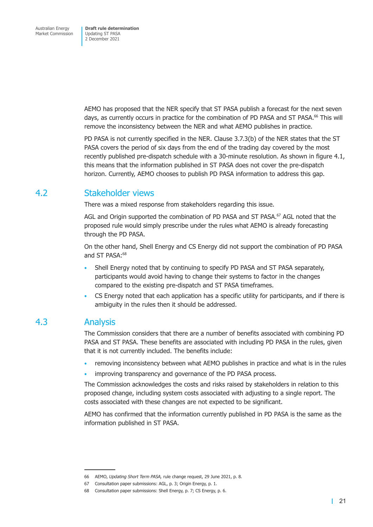<span id="page-27-0"></span>AEMO has proposed that the NER specify that ST PASA publish a forecast for the next seven days, as currently occurs in practice for the combination of PD PASA and ST PASA.<sup>66</sup> This will remove the inconsistency between the NER and what AEMO publishes in practice.

PD PASA is not currently specified in the NER. Clause 3.7.3(b) of the NER states that the ST PASA covers the period of six days from the end of the trading day covered by the most recently published pre-dispatch schedule with a 30-minute resolution. As shown in figure 4.1, this means that the information published in ST PASA does not cover the pre-dispatch horizon. Currently, AEMO chooses to publish PD PASA information to address this gap.

## 4.2 Stakeholder views

There was a mixed response from stakeholders regarding this issue.

AGL and Origin supported the combination of PD PASA and ST PASA.<sup>67</sup> AGL noted that the proposed rule would simply prescribe under the rules what AEMO is already forecasting through the PD PASA.

On the other hand, Shell Energy and CS Energy did not support the combination of PD PASA and ST PASA:<sup>68</sup>

- Shell Energy noted that by continuing to specify PD PASA and ST PASA separately, participants would avoid having to change their systems to factor in the changes compared to the existing pre-dispatch and ST PASA timeframes.
- CS Energy noted that each application has a specific utility for participants, and if there is ambiguity in the rules then it should be addressed.

## 4.3 Analysis

The Commission considers that there are a number of benefits associated with combining PD PASA and ST PASA. These benefits are associated with including PD PASA in the rules, given that it is not currently included. The benefits include:

- removing inconsistency between what AEMO publishes in practice and what is in the rules
- improving transparency and governance of the PD PASA process.

The Commission acknowledges the costs and risks raised by stakeholders in relation to this proposed change, including system costs associated with adjusting to a single report. The costs associated with these changes are not expected to be significant.

AEMO has confirmed that the information currently published in PD PASA is the same as the information published in ST PASA.

<sup>66</sup> AEMO, *Updating Short Term PASA,* rule change request, 29 June 2021, p. 8.

<sup>67</sup> Consultation paper submissions: AGL, p. 3; Origin Energy, p. 1.

<sup>68</sup> Consultation paper submissions: Shell Energy, p. 7; CS Energy, p. 6.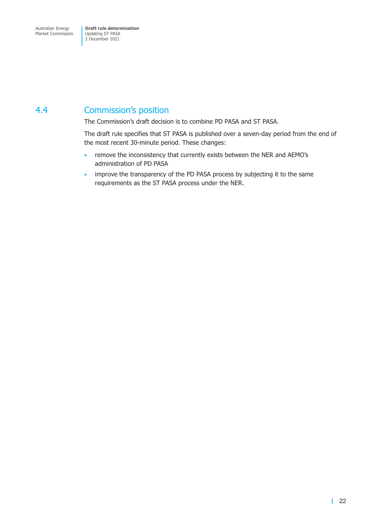## <span id="page-28-0"></span>4.4 Commission's position

The Commission's draft decision is to combine PD PASA and ST PASA.

The draft rule specifies that ST PASA is published over a seven-day period from the end of the most recent 30-minute period. These changes:

- remove the inconsistency that currently exists between the NER and AEMO's administration of PD PASA
- improve the transparency of the PD PASA process by subjecting it to the same requirements as the ST PASA process under the NER.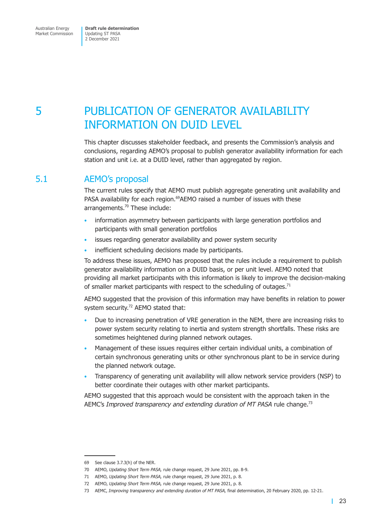# <span id="page-29-0"></span>5 PUBLICATION OF GENERATOR AVAILABILITY INFORMATION ON DUID LEVEL

This chapter discusses stakeholder feedback, and presents the Commission's analysis and conclusions, regarding AEMO's proposal to publish generator availability information for each station and unit i.e. at a DUID level, rather than aggregated by region.

## 5.1 AEMO's proposal

The current rules specify that AEMO must publish aggregate generating unit availability and PASA availability for each region.<sup>69</sup>AEMO raised a number of issues with these arrangements.<sup>70</sup> These include:

- information asymmetry between participants with large generation portfolios and participants with small generation portfolios
- issues regarding generator availability and power system security
- inefficient scheduling decisions made by participants.

To address these issues, AEMO has proposed that the rules include a requirement to publish generator availability information on a DUID basis, or per unit level. AEMO noted that providing all market participants with this information is likely to improve the decision-making of smaller market participants with respect to the scheduling of outages.<sup>71</sup>

AEMO suggested that the provision of this information may have benefits in relation to power system security.<sup>72</sup> AEMO stated that:

- Due to increasing penetration of VRE generation in the NEM, there are increasing risks to power system security relating to inertia and system strength shortfalls. These risks are sometimes heightened during planned network outages.
- Management of these issues requires either certain individual units, a combination of certain synchronous generating units or other synchronous plant to be in service during the planned network outage.
- Transparency of generating unit availability will allow network service providers (NSP) to better coordinate their outages with other market participants.

AEMO suggested that this approach would be consistent with the approach taken in the AEMC's *Improved transparency and extending duration of MT PASA* rule change.73

<sup>69</sup> See clause 3.7.3(h) of the NER.

<sup>70</sup> AEMO, *Updating Short Term PASA,* rule change request, 29 June 2021, pp. 8-9.

<sup>71</sup> AEMO, *Updating Short Term PASA,* rule change request, 29 June 2021, p. 8.

<sup>72</sup> AEMO, *Updating Short Term PASA,* rule change request, 29 June 2021, p. 8.

<sup>73</sup> AEMC, *Improving transparency and extending duration of MT PASA,* final determination, 20 February 2020, pp. 12-21.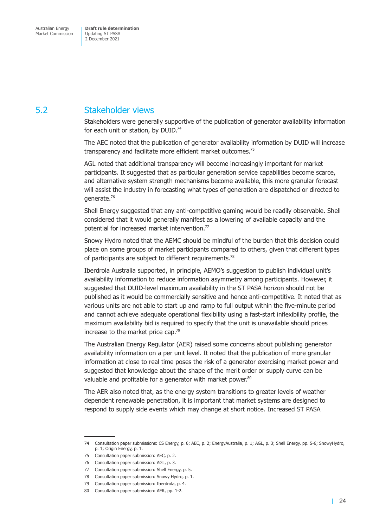## <span id="page-30-0"></span>5.2 Stakeholder views

Stakeholders were generally supportive of the publication of generator availability information for each unit or station, by  $DUID^{74}$ 

The AEC noted that the publication of generator availability information by DUID will increase transparency and facilitate more efficient market outcomes.<sup>75</sup>

AGL noted that additional transparency will become increasingly important for market participants. It suggested that as particular generation service capabilities become scarce, and alternative system strength mechanisms become available, this more granular forecast will assist the industry in forecasting what types of generation are dispatched or directed to generate.76

Shell Energy suggested that any anti-competitive gaming would be readily observable. Shell considered that it would generally manifest as a lowering of available capacity and the potential for increased market intervention.77

Snowy Hydro noted that the AEMC should be mindful of the burden that this decision could place on some groups of market participants compared to others, given that different types of participants are subject to different requirements.<sup>78</sup>

Iberdrola Australia supported, in principle, AEMO's suggestion to publish individual unit's availability information to reduce information asymmetry among participants. However, it suggested that DUID-level maximum availability in the ST PASA horizon should not be published as it would be commercially sensitive and hence anti-competitive. It noted that as various units are not able to start up and ramp to full output within the five-minute period and cannot achieve adequate operational flexibility using a fast-start inflexibility profile, the maximum availability bid is required to specify that the unit is unavailable should prices increase to the market price cap.<sup>79</sup>

The Australian Energy Regulator (AER) raised some concerns about publishing generator availability information on a per unit level. It noted that the publication of more granular information at close to real time poses the risk of a generator exercising market power and suggested that knowledge about the shape of the merit order or supply curve can be valuable and profitable for a generator with market power.<sup>80</sup>

The AER also noted that, as the energy system transitions to greater levels of weather dependent renewable penetration, it is important that market systems are designed to respond to supply side events which may change at short notice. Increased ST PASA

<sup>74</sup> Consultation paper submissions: CS Energy, p. 6; AEC, p. 2; EnergyAustralia, p. 1; AGL, p. 3; Shell Energy, pp. 5-6; SnowyHydro, p. 1; Origin Energy, p. 1.

<sup>75</sup> Consultation paper submission: AEC, p. 2.

<sup>76</sup> Consultation paper submission: AGL, p. 3.

<sup>77</sup> Consultation paper submission: Shell Energy, p. 5.

<sup>78</sup> Consultation paper submission: Snowy Hydro, p. 1.

<sup>79</sup> Consultation paper submission: Iberdrola, p. 4.

<sup>80</sup> Consultation paper submission: AER, pp. 1-2.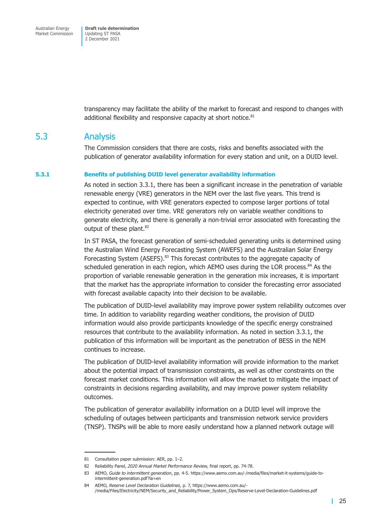<span id="page-31-0"></span>transparency may facilitate the ability of the market to forecast and respond to changes with additional flexibility and responsive capacity at short notice.<sup>81</sup>

## 5.3 Analysis

The Commission considers that there are costs, risks and benefits associated with the publication of generator availability information for every station and unit, on a DUID level.

#### **5.3.1 Benefits of publishing DUID level generator availability information**

As noted in section 3.3.1, there has been a significant increase in the penetration of variable renewable energy (VRE) generators in the NEM over the last five years. This trend is expected to continue, with VRE generators expected to compose larger portions of total electricity generated over time. VRE generators rely on variable weather conditions to generate electricity, and there is generally a non-trivial error associated with forecasting the output of these plant.<sup>82</sup>

In ST PASA, the forecast generation of semi-scheduled generating units is determined using the Australian Wind Energy Forecasting System (AWEFS) and the Australian Solar Energy Forecasting System (ASEFS). $83$  This forecast contributes to the aggregate capacity of scheduled generation in each region, which AEMO uses during the LOR process.<sup>84</sup> As the proportion of variable renewable generation in the generation mix increases, it is important that the market has the appropriate information to consider the forecasting error associated with forecast available capacity into their decision to be available.

The publication of DUID-level availability may improve power system reliability outcomes over time. In addition to variability regarding weather conditions, the provision of DUID information would also provide participants knowledge of the specific energy constrained resources that contribute to the availability information. As noted in section 3.3.1, the publication of this information will be important as the penetration of BESS in the NEM continues to increase.

The publication of DUID-level availability information will provide information to the market about the potential impact of transmission constraints, as well as other constraints on the forecast market conditions. This information will allow the market to mitigate the impact of constraints in decisions regarding availability, and may improve power system reliability outcomes.

The publication of generator availability information on a DUID level will improve the scheduling of outages between participants and transmission network service providers (TNSP). TNSPs will be able to more easily understand how a planned network outage will

<sup>81</sup> Consultation paper submission: AER, pp. 1–2.

<sup>82</sup> Reliability Panel, *2020 Annual Market Performance Review,* final report, pp. 74-78.

<sup>83</sup> AEMO, *Guide to intermittent generation*, pp. 4-5. https://www.aemo.com.au/-/media/files/market-it-systems/guide-tointermittent-generation.pdf?la=en

<sup>84</sup> AEMO, *Reserve Level Declaration Guidelines*, p. 7, https://www.aemo.com.au/- /media/Files/Electricity/NEM/Security\_and\_Reliability/Power\_System\_Ops/Reserve-Level-Declaration-Guidelines.pdf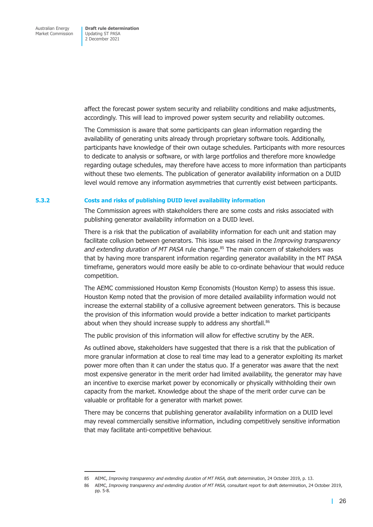affect the forecast power system security and reliability conditions and make adjustments, accordingly. This will lead to improved power system security and reliability outcomes.

The Commission is aware that some participants can glean information regarding the availability of generating units already through proprietary software tools. Additionally, participants have knowledge of their own outage schedules. Participants with more resources to dedicate to analysis or software, or with large portfolios and therefore more knowledge regarding outage schedules, may therefore have access to more information than participants without these two elements. The publication of generator availability information on a DUID level would remove any information asymmetries that currently exist between participants.

#### **5.3.2 Costs and risks of publishing DUID level availability information**

The Commission agrees with stakeholders there are some costs and risks associated with publishing generator availability information on a DUID level.

There is a risk that the publication of availability information for each unit and station may facilitate collusion between generators. This issue was raised in the *Improving transparency and extending duration of MT PASA* rule change.<sup>85</sup> The main concern of stakeholders was that by having more transparent information regarding generator availability in the MT PASA timeframe, generators would more easily be able to co-ordinate behaviour that would reduce competition.

The AEMC commissioned Houston Kemp Economists (Houston Kemp) to assess this issue. Houston Kemp noted that the provision of more detailed availability information would not increase the external stability of a collusive agreement between generators. This is because the provision of this information would provide a better indication to market participants about when they should increase supply to address any shortfall.<sup>86</sup>

The public provision of this information will allow for effective scrutiny by the AER.

As outlined above, stakeholders have suggested that there is a risk that the publication of more granular information at close to real time may lead to a generator exploiting its market power more often than it can under the status quo. If a generator was aware that the next most expensive generator in the merit order had limited availability, the generator may have an incentive to exercise market power by economically or physically withholding their own capacity from the market. Knowledge about the shape of the merit order curve can be valuable or profitable for a generator with market power.

There may be concerns that publishing generator availability information on a DUID level may reveal commercially sensitive information, including competitively sensitive information that may facilitate anti-competitive behaviour.

<sup>85</sup> AEMC, *Improving transparency and extending duration of MT PASA*, draft determination, 24 October 2019, p. 13.

<sup>86</sup> AEMC, *Improving transparency and extending duration of MT PASA,* consultant report for draft determination, 24 October 2019, pp. 5-8.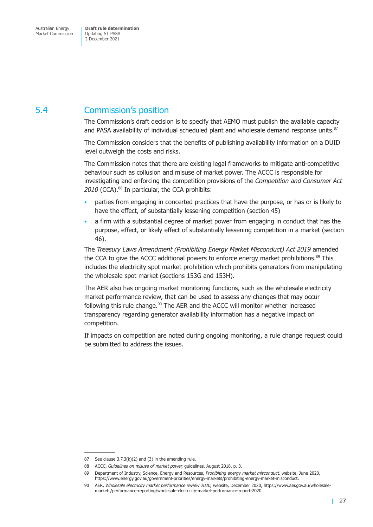## <span id="page-33-0"></span>5.4 Commission's position

The Commission's draft decision is to specify that AEMO must publish the available capacity and PASA availability of individual scheduled plant and wholesale demand response units.<sup>87</sup>

The Commission considers that the benefits of publishing availability information on a DUID level outweigh the costs and risks.

The Commission notes that there are existing legal frameworks to mitigate anti-competitive behaviour such as collusion and misuse of market power. The ACCC is responsible for investigating and enforcing the competition provisions of the *Competition and Consumer Act*  2010 (CCA).<sup>88</sup> In particular, the CCA prohibits:

- parties from engaging in concerted practices that have the purpose, or has or is likely to have the effect, of substantially lessening competition (section 45)
- a firm with a substantial degree of market power from engaging in conduct that has the purpose, effect, or likely effect of substantially lessening competition in a market (section 46).

The *Treasury Laws Amendment (Prohibiting Energy Market Misconduct) Act 2019* amended the CCA to give the ACCC additional powers to enforce energy market prohibitions.<sup>89</sup> This includes the electricity spot market prohibition which prohibits generators from manipulating the wholesale spot market (sections 153G and 153H).

The AER also has ongoing market monitoring functions, such as the wholesale electricity market performance review, that can be used to assess any changes that may occur following this rule change.<sup>90</sup> The AER and the ACCC will monitor whether increased transparency regarding generator availability information has a negative impact on competition.

If impacts on competition are noted during ongoing monitoring, a rule change request could be submitted to address the issues.

<sup>87</sup> See clause  $3.7.3(k)(2)$  and  $(3)$  in the amending rule.

<sup>88</sup> ACCC, *Guidelines on misuse of market power,* guidelines, August 2018, p. 3.

<sup>89</sup> Department of Industry, Science, Energy and Resources, *Prohibiting energy market misconduct,* website, June 2020, https://www.energy.gov.au/government-priorities/energy-markets/prohibiting-energy-market-misconduct.

<sup>90</sup> AER, *Wholesale electricity market performance review 2020,* website, December 2020, https://www.aer.gov.au/wholesalemarkets/performance-reporting/wholesale-electricity-market-performance-report-2020.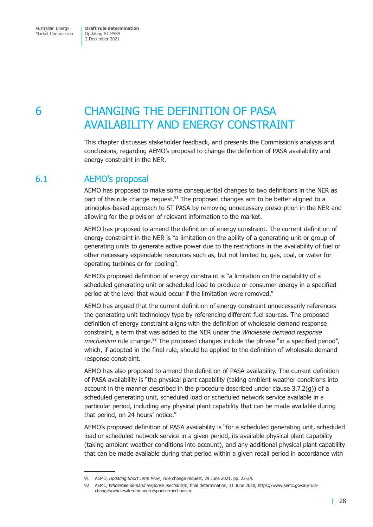# <span id="page-34-0"></span>6 CHANGING THE DEFINITION OF PASA AVAILABILITY AND ENERGY CONSTRAINT

This chapter discusses stakeholder feedback, and presents the Commission's analysis and conclusions, regarding AEMO's proposal to change the definition of PASA availability and energy constraint in the NER.

## 6.1 AEMO's proposal

AEMO has proposed to make some consequential changes to two definitions in the NER as part of this rule change request.<sup>91</sup> The proposed changes aim to be better aligned to a principles-based approach to ST PASA by removing unnecessary prescription in the NER and allowing for the provision of relevant information to the market.

AEMO has proposed to amend the definition of energy constraint. The current definition of energy constraint in the NER is "a limitation on the ability of a generating unit or group of generating units to generate active power due to the restrictions in the availability of fuel or other necessary expendable resources such as, but not limited to, gas, coal, or water for operating turbines or for cooling".

AEMO's proposed definition of energy constraint is "a limitation on the capability of a scheduled generating unit or scheduled load to produce or consumer energy in a specified period at the level that would occur if the limitation were removed."

AEMO has argued that the current definition of energy constraint unnecessarily references the generating unit technology type by referencing different fuel sources. The proposed definition of energy constraint aligns with the definition of wholesale demand response constraint, a term that was added to the NER under the *Wholesale demand response mechanism* rule change.<sup>92</sup> The proposed changes include the phrase "in a specified period", which, if adopted in the final rule, should be applied to the definition of wholesale demand response constraint.

AEMO has also proposed to amend the definition of PASA availability. The current definition of PASA availability is "the physical plant capability (taking ambient weather conditions into account in the manner described in the procedure described under clause  $3.7.2(q)$ ) of a scheduled generating unit, scheduled load or scheduled network service available in a particular period, including any physical plant capability that can be made available during that period, on 24 hours' notice."

AEMO's proposed definition of PASA availability is "for a scheduled generating unit, scheduled load or scheduled network service in a given period, its available physical plant capability (taking ambient weather conditions into account), and any additional physical plant capability that can be made available during that period within a given recall period in accordance with

<sup>91</sup> AEMO, *Updating Short Term PASA,* rule change request, 29 June 2021, pp. 23-24.

<sup>92</sup> AEMC, *Wholesale demand response mechanism*, final determination, 11 June 2020, https://www.aemc.gov.au/rulechanges/wholesale-demand-response-mechanism.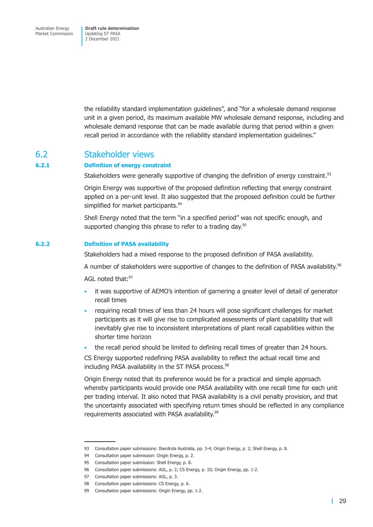<span id="page-35-0"></span>Australian Energy Market Commission

**Draft rule determination**  Updating ST PASA 2 December 2021

the reliability standard implementation guidelines", and "for a wholesale demand response unit in a given period, its maximum available MW wholesale demand response, including and wholesale demand response that can be made available during that period within a given recall period in accordance with the reliability standard implementation guidelines."

## 6.2 Stakeholder views

#### **6.2.1 Definition of energy constraint**

Stakeholders were generally supportive of changing the definition of energy constraint.<sup>93</sup>

Origin Energy was supportive of the proposed definition reflecting that energy constraint applied on a per-unit level. It also suggested that the proposed definition could be further simplified for market participants.<sup>94</sup>

Shell Energy noted that the term "in a specified period" was not specific enough, and supported changing this phrase to refer to a trading day.<sup>95</sup>

#### **6.2.2 Definition of PASA availability**

Stakeholders had a mixed response to the proposed definition of PASA availability.

A number of stakeholders were supportive of changes to the definition of PASA availability.<sup>96</sup>

AGL noted that: 97

- it was supportive of AEMO's intention of garnering a greater level of detail of generator recall times
- requiring recall times of less than 24 hours will pose significant challenges for market participants as it will give rise to complicated assessments of plant capability that will inevitably give rise to inconsistent interpretations of plant recall capabilities within the shorter time horizon
- the recall period should be limited to defining recall times of greater than 24 hours.

CS Energy supported redefining PASA availability to reflect the actual recall time and including PASA availability in the ST PASA process.<sup>98</sup>

Origin Energy noted that its preference would be for a practical and simple approach whereby participants would provide one PASA availability with one recall time for each unit per trading interval. It also noted that PASA availability is a civil penalty provision, and that the uncertainty associated with specifying return times should be reflected in any compliance requirements associated with PASA availability.<sup>99</sup>

<sup>93</sup> Consultation paper submissions: Iberdrola Australia, pp. 3-4; Origin Energy, p. 2; Shell Energy, p. 8.

<sup>94</sup> Consultation paper submission: Origin Energy, p. 2.

<sup>95</sup> Consultation paper submission: Shell Energy, p. 8.

<sup>96</sup> Consultation paper submissions: AGL, p. 2; CS Energy, p. 10; Origin Energy, pp. 1-2.

<sup>97</sup> Consultation paper submissions: AGL, p. 3.

<sup>98</sup> Consultation paper submissions: CS Energy, p. 6.

<sup>99</sup> Consultation paper submissions: Origin Energy, pp. 1-2.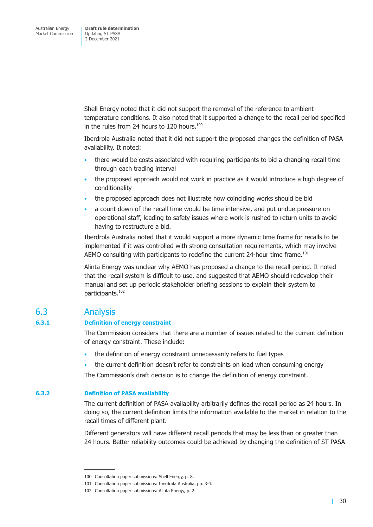<span id="page-36-0"></span>Shell Energy noted that it did not support the removal of the reference to ambient temperature conditions. It also noted that it supported a change to the recall period specified in the rules from 24 hours to 120 hours. $100$ 

Iberdrola Australia noted that it did not support the proposed changes the definition of PASA availability. It noted:

- there would be costs associated with requiring participants to bid a changing recall time through each trading interval
- the proposed approach would not work in practice as it would introduce a high degree of conditionality
- the proposed approach does not illustrate how coinciding works should be bid
- a count down of the recall time would be time intensive, and put undue pressure on operational staff, leading to safety issues where work is rushed to return units to avoid having to restructure a bid.

Iberdrola Australia noted that it would support a more dynamic time frame for recalls to be implemented if it was controlled with strong consultation requirements, which may involve AEMO consulting with participants to redefine the current 24-hour time frame.<sup>101</sup>

Alinta Energy was unclear why AEMO has proposed a change to the recall period. It noted that the recall system is difficult to use, and suggested that AEMO should redevelop their manual and set up periodic stakeholder briefing sessions to explain their system to participants.102

## 6.3 Analysis

#### **6.3.1 Definition of energy constraint**

The Commission considers that there are a number of issues related to the current definition of energy constraint. These include:

- the definition of energy constraint unnecessarily refers to fuel types
- the current definition doesn't refer to constraints on load when consuming energy

The Commission's draft decision is to change the definition of energy constraint.

## **6.3.2 Definition of PASA availability**

The current definition of PASA availability arbitrarily defines the recall period as 24 hours. In doing so, the current definition limits the information available to the market in relation to the recall times of different plant.

Different generators will have different recall periods that may be less than or greater than 24 hours. Better reliability outcomes could be achieved by changing the definition of ST PASA

<sup>100</sup> Consultation paper submissions: Shell Energy, p. 8.

<sup>101</sup> Consultation paper submissions: Iberdrola Australia, pp. 3-4.

<sup>102</sup> Consultation paper submissions: Alinta Energy, p. 2.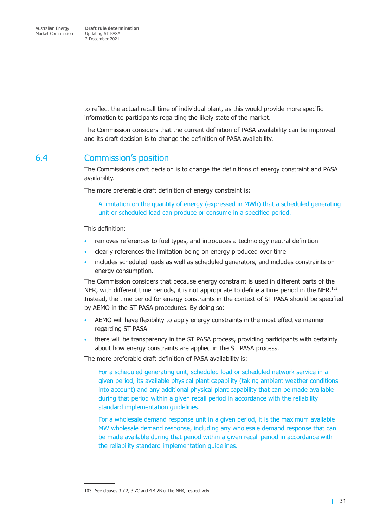<span id="page-37-0"></span>to reflect the actual recall time of individual plant, as this would provide more specific information to participants regarding the likely state of the market.

The Commission considers that the current definition of PASA availability can be improved and its draft decision is to change the definition of PASA availability.

## 6.4 Commission's position

The Commission's draft decision is to change the definitions of energy constraint and PASA availability.

The more preferable draft definition of energy constraint is:

A limitation on the quantity of energy (expressed in MWh) that a scheduled generating unit or scheduled load can produce or consume in a specified period.

This definition:

- removes references to fuel types, and introduces a technology neutral definition
- clearly references the limitation being on energy produced over time
- includes scheduled loads as well as scheduled generators, and includes constraints on energy consumption.

The Commission considers that because energy constraint is used in different parts of the NER, with different time periods, it is not appropriate to define a time period in the NER.<sup>103</sup> Instead, the time period for energy constraints in the context of ST PASA should be specified by AEMO in the ST PASA procedures. By doing so:

- AEMO will have flexibility to apply energy constraints in the most effective manner regarding ST PASA
- there will be transparency in the ST PASA process, providing participants with certainty about how energy constraints are applied in the ST PASA process.

The more preferable draft definition of PASA availability is:

For a scheduled generating unit, scheduled load or scheduled network service in a given period, its available physical plant capability (taking ambient weather conditions into account) and any additional physical plant capability that can be made available during that period within a given recall period in accordance with the reliability standard implementation guidelines.

For a wholesale demand response unit in a given period, it is the maximum available MW wholesale demand response, including any wholesale demand response that can be made available during that period within a given recall period in accordance with the reliability standard implementation guidelines.

<sup>103</sup> See clauses 3.7.2, 3.7C and 4.4.2B of the NER, respectively.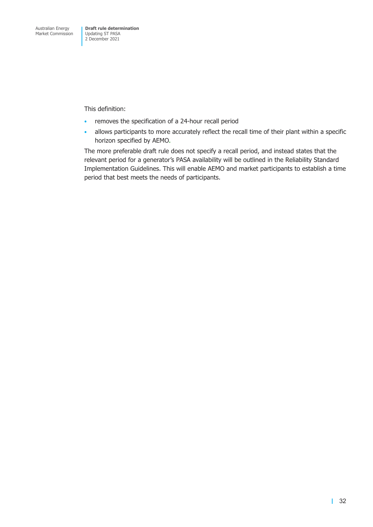This definition:

- removes the specification of a 24-hour recall period
- allows participants to more accurately reflect the recall time of their plant within a specific horizon specified by AEMO.

The more preferable draft rule does not specify a recall period, and instead states that the relevant period for a generator's PASA availability will be outlined in the Reliability Standard Implementation Guidelines. This will enable AEMO and market participants to establish a time period that best meets the needs of participants.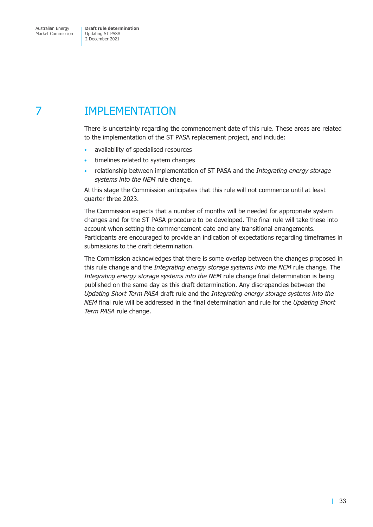# <span id="page-39-0"></span>7 IMPLEMENTATION

There is uncertainty regarding the commencement date of this rule. These areas are related to the implementation of the ST PASA replacement project, and include:

- availability of specialised resources
- timelines related to system changes
- relationship between implementation of ST PASA and the *Integrating energy storage systems into the NEM* rule change.

At this stage the Commission anticipates that this rule will not commence until at least quarter three 2023.

The Commission expects that a number of months will be needed for appropriate system changes and for the ST PASA procedure to be developed. The final rule will take these into account when setting the commencement date and any transitional arrangements. Participants are encouraged to provide an indication of expectations regarding timeframes in submissions to the draft determination.

The Commission acknowledges that there is some overlap between the changes proposed in this rule change and the *Integrating energy storage systems into the NEM* rule change. The *Integrating energy storage systems into the NEM* rule change final determination is being published on the same day as this draft determination. Any discrepancies between the *Updating Short Term PASA* draft rule and the *Integrating energy storage systems into the NEM* final rule will be addressed in the final determination and rule for the *Updating Short Term PASA* rule change.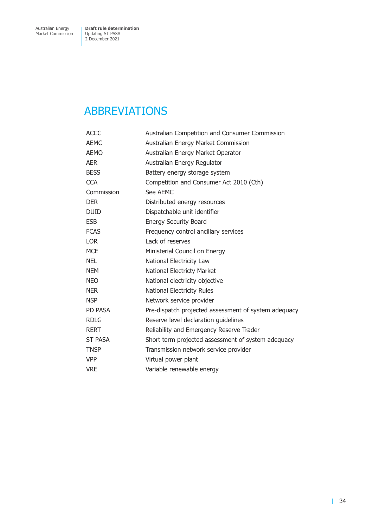# <span id="page-40-0"></span>ABBREVIATIONS

| <b>ACCC</b>    | Australian Competition and Consumer Commission       |  |  |
|----------------|------------------------------------------------------|--|--|
| <b>AEMC</b>    | Australian Energy Market Commission                  |  |  |
| <b>AEMO</b>    | Australian Energy Market Operator                    |  |  |
| AER            | Australian Energy Regulator                          |  |  |
| <b>BESS</b>    | Battery energy storage system                        |  |  |
| <b>CCA</b>     | Competition and Consumer Act 2010 (Cth)              |  |  |
| Commission     | See AEMC                                             |  |  |
| <b>DER</b>     | Distributed energy resources                         |  |  |
| <b>DUID</b>    | Dispatchable unit identifier                         |  |  |
| <b>ESB</b>     | <b>Energy Security Board</b>                         |  |  |
| <b>FCAS</b>    | Frequency control ancillary services                 |  |  |
| LOR            | Lack of reserves                                     |  |  |
| <b>MCE</b>     | Ministerial Council on Energy                        |  |  |
| NEL            | National Electricity Law                             |  |  |
| <b>NEM</b>     | National Electricty Market                           |  |  |
| <b>NEO</b>     | National electricity objective                       |  |  |
| NER            | <b>National Electricity Rules</b>                    |  |  |
| <b>NSP</b>     | Network service provider                             |  |  |
| PD PASA        | Pre-dispatch projected assessment of system adequacy |  |  |
| <b>RDLG</b>    | Reserve level declaration guidelines                 |  |  |
| <b>RERT</b>    | Reliability and Emergency Reserve Trader             |  |  |
| <b>ST PASA</b> | Short term projected assessment of system adequacy   |  |  |
| <b>TNSP</b>    | Transmission network service provider                |  |  |
| VPP            | Virtual power plant                                  |  |  |
| <b>VRE</b>     | Variable renewable energy                            |  |  |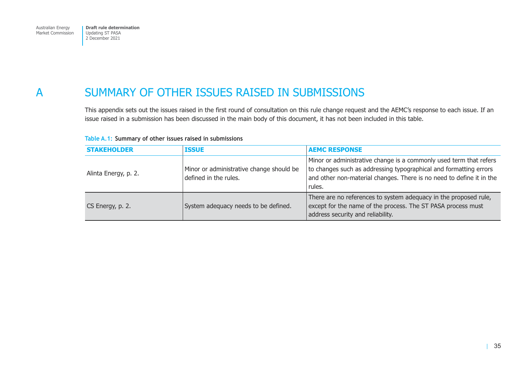# <span id="page-41-0"></span>A SUMMARY OF OTHER ISSUES RAISED IN SUBMISSIONS

This appendix sets out the issues raised in the first round of consultation on this rule change request and the AEMC's response to each issue. If an issue raised in a submission has been discussed in the main body of this document, it has not been included in this table.

| <b>STAKEHOLDER</b>   | <b>ISSUE</b>                                                      | <b>AEMC RESPONSE</b>                                                                                                                                                                                                      |
|----------------------|-------------------------------------------------------------------|---------------------------------------------------------------------------------------------------------------------------------------------------------------------------------------------------------------------------|
| Alinta Energy, p. 2. | Minor or administrative change should be<br>defined in the rules. | Minor or administrative change is a commonly used term that refers<br>to changes such as addressing typographical and formatting errors<br>and other non-material changes. There is no need to define it in the<br>rules. |
| CS Energy, p. 2.     | System adequacy needs to be defined.                              | There are no references to system adequacy in the proposed rule,<br>except for the name of the process. The ST PASA process must<br>address security and reliability.                                                     |

#### **Table A.1: Summary of other issues raised in submissions**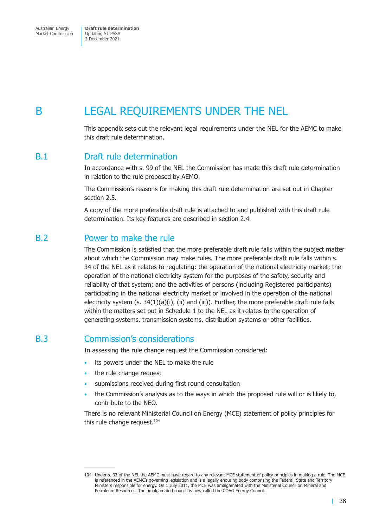<span id="page-42-0"></span>Market Commission

Updating ST PASA 2 December 2021

# B LEGAL REQUIREMENTS UNDER THE NEL

This appendix sets out the relevant legal requirements under the NEL for the AEMC to make this draft rule determination.

### B.1 Draft rule determination

In accordance with s. 99 of the NEL the Commission has made this draft rule determination in relation to the rule proposed by AEMO.

The Commission's reasons for making this draft rule determination are set out in Chapter section 2.5.

A copy of the more preferable draft rule is attached to and published with this draft rule determination. Its key features are described in section 2.4.

## B.2 Power to make the rule

The Commission is satisfied that the more prefe[rable draft r](#page-13-1)ule falls within the subject matter about which the Commission may make rules. The more preferable draft rule falls within s. 34 of the NEL as it relates to regulating: the operation of the national electricity market; the operation of the national electricity system for the purposes of the safety, security and reliability of that system; and the activities of persons (including Registered participants) participating in the national electricity market or involved in the operation of the national electricity system (s. 34(1)(a)(i), (ii) and (iii)). Further, the more preferable draft rule falls within the matters set out in Schedule 1 to the NEL as it relates to the operation of generating systems, transmission systems, distribution systems or other facilities.

## B.3 Commission's considerations

In assessing the rule change request the Commission considered:

- its powers under the NEL to make the rule
- the rule change request
- submissions received during first round consultation
- the Commission's analysis as to the ways in which the proposed rule will or is likely to, contribute to the NEO.

There is no relevant Ministerial Council on Energy (MCE) statement of policy principles for this rule change request. $104$ 

T.

<sup>104</sup> Under s. 33 of the NEL the AEMC must have regard to any relevant MCE statement of policy principles in making a rule. The MCE is referenced in the AEMC's governing legislation and is a legally enduring body comprising the Federal, State and Territory Ministers responsible for energy. On 1 July 2011, the MCE was amalgamated with the Ministerial Council on Mineral and Petroleum Resources. The amalgamated council is now called the COAG Energy Council.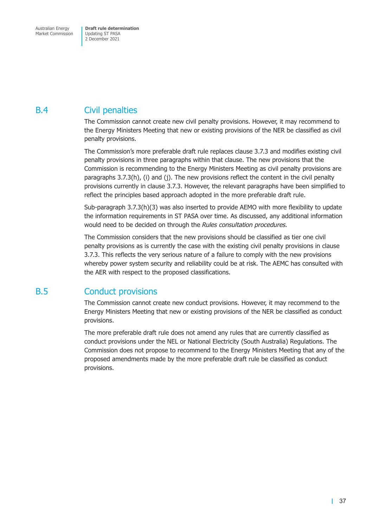## <span id="page-43-0"></span>B.4 Civil penalties

The Commission cannot create new civil penalty provisions. However, it may recommend to the Energy Ministers Meeting that new or existing provisions of the NER be classified as civil penalty provisions.

The Commission's more preferable draft rule replaces clause 3.7.3 and modifies existing civil penalty provisions in three paragraphs within that clause. The new provisions that the Commission is recommending to the Energy Ministers Meeting as civil penalty provisions are paragraphs 3.7.3(h), (i) and (j). The new provisions reflect the content in the civil penalty provisions currently in clause 3.7.3. However, the relevant paragraphs have been simplified to reflect the principles based approach adopted in the more preferable draft rule.

Sub-paragraph 3.7.3(h)(3) was also inserted to provide AEMO with more flexibility to update the information requirements in ST PASA over time. As discussed, any additional information would need to be decided on through the *Rules consultation procedures.* 

The Commission considers that the new provisions should be classified as tier one civil penalty provisions as is currently the case with the existing civil penalty provisions in clause 3.7.3. This reflects the very serious nature of a failure to comply with the new provisions whereby power system security and reliability could be at risk. The AEMC has consulted with the AER with respect to the proposed classifications.

## B.5 Conduct provisions

The Commission cannot create new conduct provisions. However, it may recommend to the Energy Ministers Meeting that new or existing provisions of the NER be classified as conduct provisions.

The more preferable draft rule does not amend any rules that are currently classified as conduct provisions under the NEL or National Electricity (South Australia) Regulations. The Commission does not propose to recommend to the Energy Ministers Meeting that any of the proposed amendments made by the more preferable draft rule be classified as conduct provisions.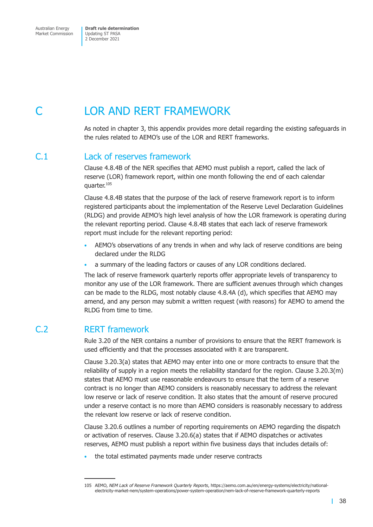# <span id="page-44-0"></span>LOR AND RERT FRAMEWORK

As noted in chapter 3, this appendix provides more detail regarding the existing safeguards in the rules related to AEMO's use of the LOR and RERT frameworks.

## C.1 Lack of reserves framework

Clause 4.8.4B of the NER specifies that AEMO must publish a report, called the lack of reserve (LOR) framework report, within one month following the end of each calendar quarter.<sup>105</sup>

Clause 4.8.4B states that the purpose of the lack of reserve framework report is to inform registered participants about the implementation of the Reserve Level Declaration Guidelines (RLDG) and provide AEMO's high level analysis of how the LOR framework is operating during the relevant reporting period. Clause 4.8.4B states that each lack of reserve framework report must include for the relevant reporting period:

- AEMO's observations of any trends in when and why lack of reserve conditions are being declared under the RLDG
- a summary of the leading factors or causes of any LOR conditions declared.

The lack of reserve framework quarterly reports offer appropriate levels of transparency to monitor any use of the LOR framework. There are sufficient avenues through which changes can be made to the RLDG, most notably clause 4.8.4A (d), which specifies that AEMO may amend, and any person may submit a written request (with reasons) for AEMO to amend the RLDG from time to time.

## C.2 RERT framework

Rule 3.20 of the NER contains a number of provisions to ensure that the RERT framework is used efficiently and that the processes associated with it are transparent.

Clause 3.20.3(a) states that AEMO may enter into one or more contracts to ensure that the reliability of supply in a region meets the reliability standard for the region. Clause 3.20.3(m) states that AEMO must use reasonable endeavours to ensure that the term of a reserve contract is no longer than AEMO considers is reasonably necessary to address the relevant low reserve or lack of reserve condition. It also states that the amount of reserve procured under a reserve contact is no more than AEMO considers is reasonably necessary to address the relevant low reserve or lack of reserve condition.

Clause 3.20.6 outlines a number of reporting requirements on AEMO regarding the dispatch or activation of reserves. Clause 3.20.6(a) states that if AEMO dispatches or activates reserves, AEMO must publish a report within five business days that includes details of:

• the total estimated payments made under reserve contracts

<sup>105</sup> AEMO, *NEM Lack of Reserve Framework Quarterly Reports*, https://aemo.com.au/en/energy-systems/electricity/nationalelectricity-market-nem/system-operations/power-system-operation/nem-lack-of-reserve-framework-quarterly-reports